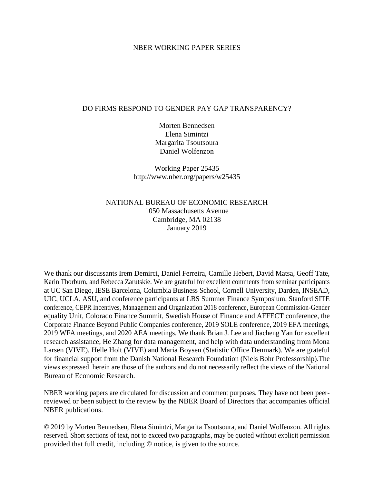#### NBER WORKING PAPER SERIES

### DO FIRMS RESPOND TO GENDER PAY GAP TRANSPARENCY?

Morten Bennedsen Elena Simintzi Margarita Tsoutsoura Daniel Wolfenzon

Working Paper 25435 http://www.nber.org/papers/w25435

### NATIONAL BUREAU OF ECONOMIC RESEARCH 1050 Massachusetts Avenue Cambridge, MA 02138 January 2019

We thank our discussants Irem Demirci, Daniel Ferreira, Camille Hebert, David Matsa, Geoff Tate, Karin Thorburn, and Rebecca Zarutskie. We are grateful for excellent comments from seminar participants at UC San Diego, IESE Barcelona, Columbia Business School, Cornell University, Darden, INSEAD, UIC, UCLA, ASU, and conference participants at LBS Summer Finance Symposium, Stanford SITE conference, CEPR Incentives, Management and Organization 2018 conference, European Commission-Gender equality Unit, Colorado Finance Summit, Swedish House of Finance and AFFECT conference, the Corporate Finance Beyond Public Companies conference, 2019 SOLE conference, 2019 EFA meetings, 2019 WFA meetings, and 2020 AEA meetings. We thank Brian J. Lee and Jiacheng Yan for excellent research assistance, He Zhang for data management, and help with data understanding from Mona Larsen (VIVE), Helle Holt (VIVE) and Maria Boysen (Statistic Office Denmark). We are grateful for financial support from the Danish National Research Foundation (Niels Bohr Professorship).The views expressed herein are those of the authors and do not necessarily reflect the views of the National Bureau of Economic Research.

NBER working papers are circulated for discussion and comment purposes. They have not been peerreviewed or been subject to the review by the NBER Board of Directors that accompanies official NBER publications.

© 2019 by Morten Bennedsen, Elena Simintzi, Margarita Tsoutsoura, and Daniel Wolfenzon. All rights reserved. Short sections of text, not to exceed two paragraphs, may be quoted without explicit permission provided that full credit, including © notice, is given to the source.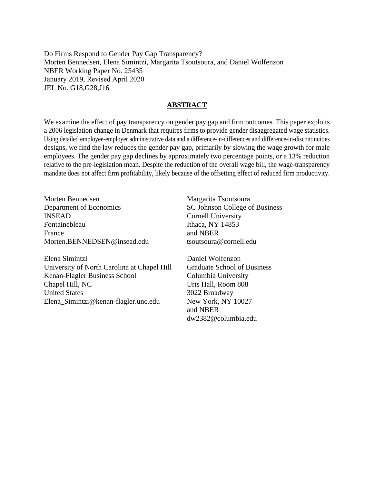Do Firms Respond to Gender Pay Gap Transparency? Morten Bennedsen, Elena Simintzi, Margarita Tsoutsoura, and Daniel Wolfenzon NBER Working Paper No. 25435 January 2019, Revised April 2020 JEL No. G18,G28,J16

#### **ABSTRACT**

We examine the effect of pay transparency on gender pay gap and firm outcomes. This paper exploits a 2006 legislation change in Denmark that requires firms to provide gender disaggregated wage statistics. Using detailed employee-employer administrative data and a difference-in-differences and difference-in-discontinuities designs, we find the law reduces the gender pay gap, primarily by slowing the wage growth for male employees. The gender pay gap declines by approximately two percentage points, or a 13% reduction relative to the pre-legislation mean. Despite the reduction of the overall wage bill, the wage-transparency mandate does not affect firm profitability, likely because of the offsetting effect of reduced firm productivity.

Morten Bennedsen Department of Economics INSEAD Fontainebleau France Morten.BENNEDSEN@insead.edu

Elena Simintzi University of North Carolina at Chapel Hill Kenan-Flagler Business School Chapel Hill, NC United States Elena\_Simintzi@kenan-flagler.unc.edu

Margarita Tsoutsoura SC Johnson College of Business Cornell University Ithaca, NY 14853 and NBER tsoutsoura@cornell.edu

Daniel Wolfenzon Graduate School of Business Columbia University Uris Hall, Room 808 3022 Broadway New York, NY 10027 and NBER dw2382@columbia.edu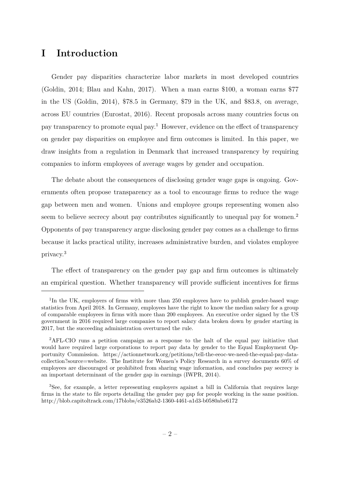# **I Introduction**

Gender pay disparities characterize labor markets in most developed countries (Goldin, 2014; Blau and Kahn, 2017). When a man earns \$100, a woman earns \$77 in the US (Goldin, 2014), \$78.5 in Germany, \$79 in the UK, and \$83.8, on average, across EU countries (Eurostat, 2016). Recent proposals across many countries focus on pay transparency to promote equal pay.<sup>1</sup> However, evidence on the effect of transparency on gender pay disparities on employee and firm outcomes is limited. In this paper, we draw insights from a regulation in Denmark that increased transparency by requiring companies to inform employees of average wages by gender and occupation.

The debate about the consequences of disclosing gender wage gaps is ongoing. Governments often propose transparency as a tool to encourage firms to reduce the wage gap between men and women. Unions and employee groups representing women also seem to believe secrecy about pay contributes significantly to unequal pay for women.<sup>2</sup> Opponents of pay transparency argue disclosing gender pay comes as a challenge to firms because it lacks practical utility, increases administrative burden, and violates employee privacy.<sup>3</sup>

The effect of transparency on the gender pay gap and firm outcomes is ultimately an empirical question. Whether transparency will provide sufficient incentives for firms

<sup>&</sup>lt;sup>1</sup>In the UK, employers of firms with more than 250 employees have to publish gender-based wage statistics from April 2018. In Germany, employees have the right to know the median salary for a group of comparable employees in firms with more than 200 employees. An executive order signed by the US government in 2016 required large companies to report salary data broken down by gender starting in 2017, but the succeeding administration overturned the rule.

<sup>2</sup>AFL-CIO runs a petition campaign as a response to the halt of the equal pay initiative that would have required large corporations to report pay data by gender to the Equal Employment Opportunity Commission. https://actionnetwork.org/petitions/tell-the-eeoc-we-need-the-equal-pay-datacollection?source=website. The Institute for Women's Policy Research in a survey documents 60% of employees are discouraged or prohibited from sharing wage information, and concludes pay secrecy is an important determinant of the gender gap in earnings (IWPR, 2014).

<sup>3</sup>See, for example, a letter representing employers against a bill in California that requires large firms in the state to file reports detailing the gender pay gap for people working in the same position. http://blob.capitoltrack.com/17blobs/e3526ab2-1360-4461-a1d3-b0580abe6172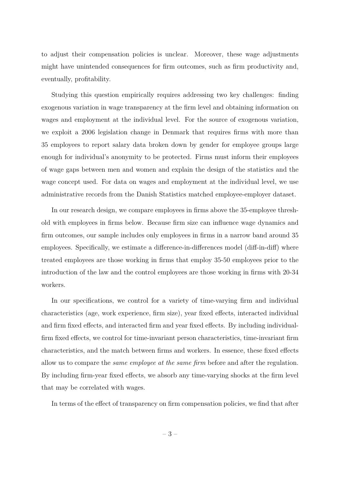to adjust their compensation policies is unclear. Moreover, these wage adjustments might have unintended consequences for firm outcomes, such as firm productivity and, eventually, profitability.

Studying this question empirically requires addressing two key challenges: finding exogenous variation in wage transparency at the firm level and obtaining information on wages and employment at the individual level. For the source of exogenous variation, we exploit a 2006 legislation change in Denmark that requires firms with more than 35 employees to report salary data broken down by gender for employee groups large enough for individual's anonymity to be protected. Firms must inform their employees of wage gaps between men and women and explain the design of the statistics and the wage concept used. For data on wages and employment at the individual level, we use administrative records from the Danish Statistics matched employee-employer dataset.

In our research design, we compare employees in firms above the 35-employee threshold with employees in firms below. Because firm size can influence wage dynamics and firm outcomes, our sample includes only employees in firms in a narrow band around 35 employees. Specifically, we estimate a difference-in-differences model (diff-in-diff) where treated employees are those working in firms that employ 35-50 employees prior to the introduction of the law and the control employees are those working in firms with 20-34 workers.

In our specifications, we control for a variety of time-varying firm and individual characteristics (age, work experience, firm size), year fixed effects, interacted individual and firm fixed effects, and interacted firm and year fixed effects. By including individualfirm fixed effects, we control for time-invariant person characteristics, time-invariant firm characteristics, and the match between firms and workers. In essence, these fixed effects allow us to compare the *same employee at the same firm* before and after the regulation. By including firm-year fixed effects, we absorb any time-varying shocks at the firm level that may be correlated with wages.

In terms of the effect of transparency on firm compensation policies, we find that after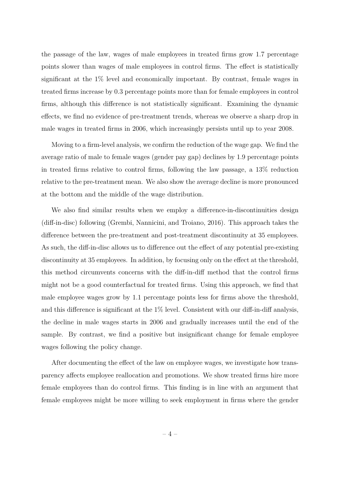the passage of the law, wages of male employees in treated firms grow 1.7 percentage points slower than wages of male employees in control firms. The effect is statistically significant at the 1% level and economically important. By contrast, female wages in treated firms increase by 0.3 percentage points more than for female employees in control firms, although this difference is not statistically significant. Examining the dynamic effects, we find no evidence of pre-treatment trends, whereas we observe a sharp drop in male wages in treated firms in 2006, which increasingly persists until up to year 2008.

Moving to a firm-level analysis, we confirm the reduction of the wage gap. We find the average ratio of male to female wages (gender pay gap) declines by 1.9 percentage points in treated firms relative to control firms, following the law passage, a 13% reduction relative to the pre-treatment mean. We also show the average decline is more pronounced at the bottom and the middle of the wage distribution.

We also find similar results when we employ a difference-in-discontinuities design (diff-in-disc) following (Grembi, Nannicini, and Troiano, 2016). This approach takes the difference between the pre-treatment and post-treatment discontinuity at 35 employees. As such, the diff-in-disc allows us to difference out the effect of any potential pre-existing discontinuity at 35 employees. In addition, by focusing only on the effect at the threshold, this method circumvents concerns with the diff-in-diff method that the control firms might not be a good counterfactual for treated firms. Using this approach, we find that male employee wages grow by 1.1 percentage points less for firms above the threshold, and this difference is significant at the  $1\%$  level. Consistent with our diff-in-diff analysis, the decline in male wages starts in 2006 and gradually increases until the end of the sample. By contrast, we find a positive but insignificant change for female employee wages following the policy change.

After documenting the effect of the law on employee wages, we investigate how transparency affects employee reallocation and promotions. We show treated firms hire more female employees than do control firms. This finding is in line with an argument that female employees might be more willing to seek employment in firms where the gender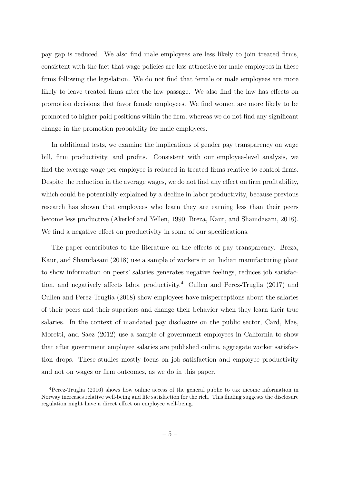pay gap is reduced. We also find male employees are less likely to join treated firms, consistent with the fact that wage policies are less attractive for male employees in these firms following the legislation. We do not find that female or male employees are more likely to leave treated firms after the law passage. We also find the law has effects on promotion decisions that favor female employees. We find women are more likely to be promoted to higher-paid positions within the firm, whereas we do not find any significant change in the promotion probability for male employees.

In additional tests, we examine the implications of gender pay transparency on wage bill, firm productivity, and profits. Consistent with our employee-level analysis, we find the average wage per employee is reduced in treated firms relative to control firms. Despite the reduction in the average wages, we do not find any effect on firm profitability, which could be potentially explained by a decline in labor productivity, because previous research has shown that employees who learn they are earning less than their peers become less productive (Akerlof and Yellen, 1990; Breza, Kaur, and Shamdasani, 2018). We find a negative effect on productivity in some of our specifications.

The paper contributes to the literature on the effects of pay transparency. Breza, Kaur, and Shamdasani (2018) use a sample of workers in an Indian manufacturing plant to show information on peers' salaries generates negative feelings, reduces job satisfaction, and negatively affects labor productivity.<sup>4</sup> Cullen and Perez-Truglia (2017) and Cullen and Perez-Truglia (2018) show employees have misperceptions about the salaries of their peers and their superiors and change their behavior when they learn their true salaries. In the context of mandated pay disclosure on the public sector, Card, Mas, Moretti, and Saez (2012) use a sample of government employees in California to show that after government employee salaries are published online, aggregate worker satisfaction drops. These studies mostly focus on job satisfaction and employee productivity and not on wages or firm outcomes, as we do in this paper.

<sup>4</sup>Perez-Truglia (2016) shows how online access of the general public to tax income information in Norway increases relative well-being and life satisfaction for the rich. This finding suggests the disclosure regulation might have a direct effect on employee well-being.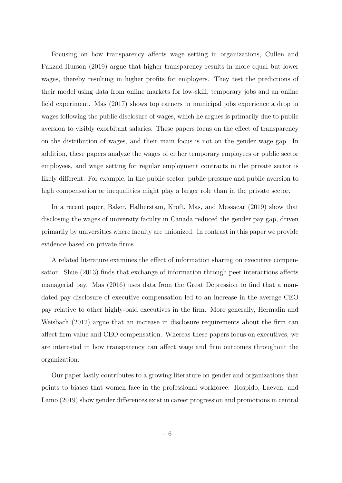Focusing on how transparency affects wage setting in organizations, Cullen and Pakzad-Hurson (2019) argue that higher transparency results in more equal but lower wages, thereby resulting in higher profits for employers. They test the predictions of their model using data from online markets for low-skill, temporary jobs and an online field experiment. Mas (2017) shows top earners in municipal jobs experience a drop in wages following the public disclosure of wages, which he argues is primarily due to public aversion to visibly exorbitant salaries. These papers focus on the effect of transparency on the distribution of wages, and their main focus is not on the gender wage gap. In addition, these papers analyze the wages of either temporary employees or public sector employees, and wage setting for regular employment contracts in the private sector is likely different. For example, in the public sector, public pressure and public aversion to high compensation or inequalities might play a larger role than in the private sector.

In a recent paper, Baker, Halberstam, Kroft, Mas, and Messacar (2019) show that disclosing the wages of university faculty in Canada reduced the gender pay gap, driven primarily by universities where faculty are unionized. In contrast in this paper we provide evidence based on private firms.

A related literature examines the effect of information sharing on executive compensation. Shue (2013) finds that exchange of information through peer interactions affects managerial pay. Mas (2016) uses data from the Great Depression to find that a mandated pay disclosure of executive compensation led to an increase in the average CEO pay relative to other highly-paid executives in the firm. More generally, Hermalin and Weisbach (2012) argue that an increase in disclosure requirements about the firm can affect firm value and CEO compensation. Whereas these papers focus on executives, we are interested in how transparency can affect wage and firm outcomes throughout the organization.

Our paper lastly contributes to a growing literature on gender and organizations that points to biases that women face in the professional workforce. Hospido, Laeven, and Lamo (2019) show gender differences exist in career progression and promotions in central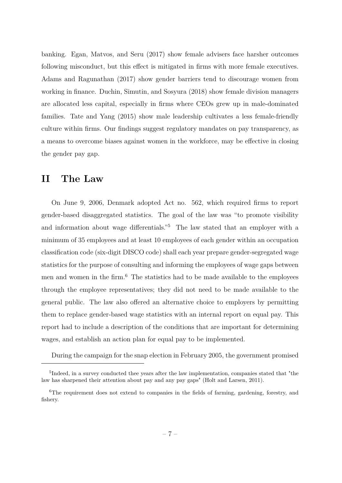banking. Egan, Matvos, and Seru (2017) show female advisers face harsher outcomes following misconduct, but this effect is mitigated in firms with more female executives. Adams and Ragunathan (2017) show gender barriers tend to discourage women from working in finance. Duchin, Simutin, and Sosyura (2018) show female division managers are allocated less capital, especially in firms where CEOs grew up in male-dominated families. Tate and Yang (2015) show male leadership cultivates a less female-friendly culture within firms. Our findings suggest regulatory mandates on pay transparency, as a means to overcome biases against women in the workforce, may be effective in closing the gender pay gap.

# **II The Law**

On June 9, 2006, Denmark adopted Act no. 562, which required firms to report gender-based disaggregated statistics. The goal of the law was "to promote visibility and information about wage differentials."<sup>5</sup> The law stated that an employer with a minimum of 35 employees and at least 10 employees of each gender within an occupation classification code (six-digit DISCO code) shall each year prepare gender-segregated wage statistics for the purpose of consulting and informing the employees of wage gaps between men and women in the firm.<sup>6</sup> The statistics had to be made available to the employees through the employee representatives; they did not need to be made available to the general public. The law also offered an alternative choice to employers by permitting them to replace gender-based wage statistics with an internal report on equal pay. This report had to include a description of the conditions that are important for determining wages, and establish an action plan for equal pay to be implemented.

During the campaign for the snap election in February 2005, the government promised

<sup>&</sup>lt;sup>5</sup>Indeed, in a survey conducted thee years after the law implementation, companies stated that "the law has sharpened their attention about pay and any pay gaps" (Holt and Larsen, 2011).

<sup>&</sup>lt;sup>6</sup>The requirement does not extend to companies in the fields of farming, gardening, forestry, and fishery.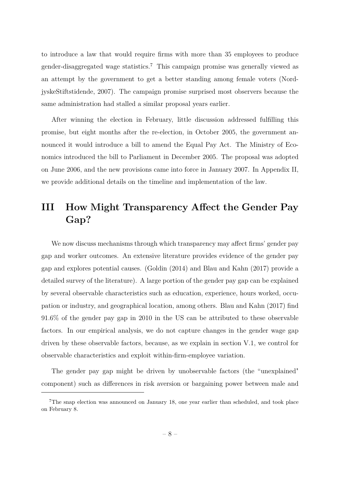to introduce a law that would require firms with more than 35 employees to produce gender-disaggregated wage statistics.<sup>7</sup> This campaign promise was generally viewed as an attempt by the government to get a better standing among female voters (NordjyskeStiftstidende, 2007). The campaign promise surprised most observers because the same administration had stalled a similar proposal years earlier.

After winning the election in February, little discussion addressed fulfilling this promise, but eight months after the re-election, in October 2005, the government announced it would introduce a bill to amend the Equal Pay Act. The Ministry of Economics introduced the bill to Parliament in December 2005. The proposal was adopted on June 2006, and the new provisions came into force in January 2007. In Appendix II, we provide additional details on the timeline and implementation of the law.

# **III How Might Transparency Affect the Gender Pay Gap?**

We now discuss mechanisms through which transparency may affect firms' gender pay gap and worker outcomes. An extensive literature provides evidence of the gender pay gap and explores potential causes. (Goldin (2014) and Blau and Kahn (2017) provide a detailed survey of the literature). A large portion of the gender pay gap can be explained by several observable characteristics such as education, experience, hours worked, occupation or industry, and geographical location, among others. Blau and Kahn (2017) find 91.6% of the gender pay gap in 2010 in the US can be attributed to these observable factors. In our empirical analysis, we do not capture changes in the gender wage gap driven by these observable factors, because, as we explain in section V.1, we control for observable characteristics and exploit within-firm-employee variation.

The gender pay gap might be driven by unobservable factors (the "unexplained" component) such as differences in risk aversion or bargaining power between male and

<sup>&</sup>lt;sup>7</sup>The snap election was announced on January 18, one year earlier than scheduled, and took place on February 8.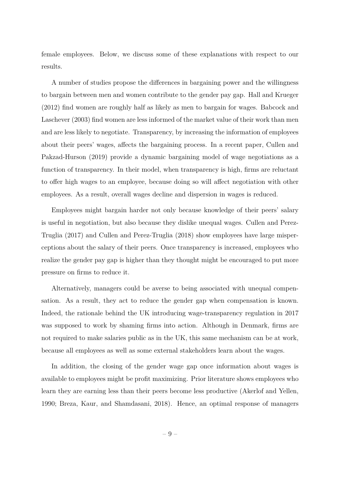female employees. Below, we discuss some of these explanations with respect to our results.

A number of studies propose the differences in bargaining power and the willingness to bargain between men and women contribute to the gender pay gap. Hall and Krueger (2012) find women are roughly half as likely as men to bargain for wages. Babcock and Laschever (2003) find women are less informed of the market value of their work than men and are less likely to negotiate. Transparency, by increasing the information of employees about their peers' wages, affects the bargaining process. In a recent paper, Cullen and Pakzad-Hurson (2019) provide a dynamic bargaining model of wage negotiations as a function of transparency. In their model, when transparency is high, firms are reluctant to offer high wages to an employee, because doing so will affect negotiation with other employees. As a result, overall wages decline and dispersion in wages is reduced.

Employees might bargain harder not only because knowledge of their peers' salary is useful in negotiation, but also because they dislike unequal wages. Cullen and Perez-Truglia (2017) and Cullen and Perez-Truglia (2018) show employees have large misperceptions about the salary of their peers. Once transparency is increased, employees who realize the gender pay gap is higher than they thought might be encouraged to put more pressure on firms to reduce it.

Alternatively, managers could be averse to being associated with unequal compensation. As a result, they act to reduce the gender gap when compensation is known. Indeed, the rationale behind the UK introducing wage-transparency regulation in 2017 was supposed to work by shaming firms into action. Although in Denmark, firms are not required to make salaries public as in the UK, this same mechanism can be at work, because all employees as well as some external stakeholders learn about the wages.

In addition, the closing of the gender wage gap once information about wages is available to employees might be profit maximizing. Prior literature shows employees who learn they are earning less than their peers become less productive (Akerlof and Yellen, 1990; Breza, Kaur, and Shamdasani, 2018). Hence, an optimal response of managers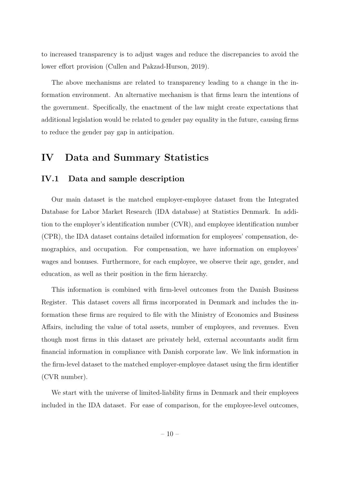to increased transparency is to adjust wages and reduce the discrepancies to avoid the lower effort provision (Cullen and Pakzad-Hurson, 2019).

The above mechanisms are related to transparency leading to a change in the information environment. An alternative mechanism is that firms learn the intentions of the government. Specifically, the enactment of the law might create expectations that additional legislation would be related to gender pay equality in the future, causing firms to reduce the gender pay gap in anticipation.

## **IV Data and Summary Statistics**

## **IV.1 Data and sample description**

Our main dataset is the matched employer-employee dataset from the Integrated Database for Labor Market Research (IDA database) at Statistics Denmark. In addition to the employer's identification number (CVR), and employee identification number (CPR), the IDA dataset contains detailed information for employees' compensation, demographics, and occupation. For compensation, we have information on employees' wages and bonuses. Furthermore, for each employee, we observe their age, gender, and education, as well as their position in the firm hierarchy.

This information is combined with firm-level outcomes from the Danish Business Register. This dataset covers all firms incorporated in Denmark and includes the information these firms are required to file with the Ministry of Economics and Business Affairs, including the value of total assets, number of employees, and revenues. Even though most firms in this dataset are privately held, external accountants audit firm financial information in compliance with Danish corporate law. We link information in the firm-level dataset to the matched employer-employee dataset using the firm identifier (CVR number).

We start with the universe of limited-liability firms in Denmark and their employees included in the IDA dataset. For ease of comparison, for the employee-level outcomes,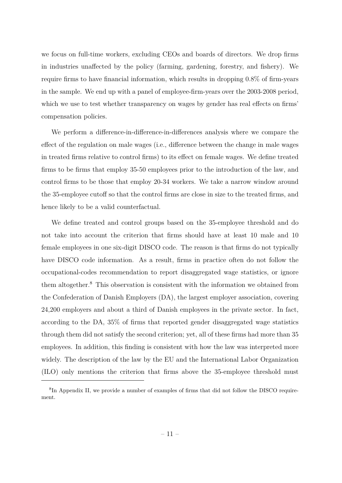we focus on full-time workers, excluding CEOs and boards of directors. We drop firms in industries unaffected by the policy (farming, gardening, forestry, and fishery). We require firms to have financial information, which results in dropping 0.8% of firm-years in the sample. We end up with a panel of employee-firm-years over the 2003-2008 period, which we use to test whether transparency on wages by gender has real effects on firms' compensation policies.

We perform a difference-in-difference-in-differences analysis where we compare the effect of the regulation on male wages (i.e., difference between the change in male wages in treated firms relative to control firms) to its effect on female wages. We define treated firms to be firms that employ 35-50 employees prior to the introduction of the law, and control firms to be those that employ 20-34 workers. We take a narrow window around the 35-employee cutoff so that the control firms are close in size to the treated firms, and hence likely to be a valid counterfactual.

We define treated and control groups based on the 35-employee threshold and do not take into account the criterion that firms should have at least 10 male and 10 female employees in one six-digit DISCO code. The reason is that firms do not typically have DISCO code information. As a result, firms in practice often do not follow the occupational-codes recommendation to report disaggregated wage statistics, or ignore them altogether.<sup>8</sup> This observation is consistent with the information we obtained from the Confederation of Danish Employers (DA), the largest employer association, covering 24,200 employers and about a third of Danish employees in the private sector. In fact, according to the DA, 35% of firms that reported gender disaggregated wage statistics through them did not satisfy the second criterion; yet, all of these firms had more than 35 employees. In addition, this finding is consistent with how the law was interpreted more widely. The description of the law by the EU and the International Labor Organization (ILO) only mentions the criterion that firms above the 35-employee threshold must

<sup>&</sup>lt;sup>8</sup>In Appendix II, we provide a number of examples of firms that did not follow the DISCO requirement.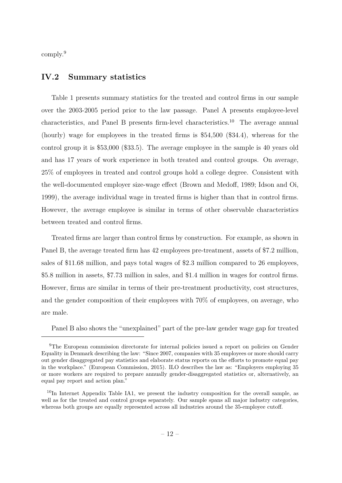comply.<sup>9</sup>

## **IV.2 Summary statistics**

Table 1 presents summary statistics for the treated and control firms in our sample over the 2003-2005 period prior to the law passage. Panel A presents employee-level characteristics, and Panel B presents firm-level characteristics.<sup>10</sup> The average annual (hourly) wage for employees in the treated firms is \$54,500 (\$34.4), whereas for the control group it is \$53,000 (\$33.5). The average employee in the sample is 40 years old and has 17 years of work experience in both treated and control groups. On average, 25% of employees in treated and control groups hold a college degree. Consistent with the well-documented employer size-wage effect (Brown and Medoff, 1989; Idson and Oi, 1999), the average individual wage in treated firms is higher than that in control firms. However, the average employee is similar in terms of other observable characteristics between treated and control firms.

Treated firms are larger than control firms by construction. For example, as shown in Panel B, the average treated firm has 42 employees pre-treatment, assets of \$7.2 million, sales of \$11.68 million, and pays total wages of \$2.3 million compared to 26 employees, \$5.8 million in assets, \$7.73 million in sales, and \$1.4 million in wages for control firms. However, firms are similar in terms of their pre-treatment productivity, cost structures, and the gender composition of their employees with 70% of employees, on average, who are male.

Panel B also shows the "unexplained" part of the pre-law gender wage gap for treated

<sup>9</sup>The European commission directorate for internal policies issued a report on policies on Gender Equality in Denmark describing the law: "Since 2007, companies with 35 employees or more should carry out gender disaggregated pay statistics and elaborate status reports on the efforts to promote equal pay in the workplace." (European Commission, 2015). ILO describes the law as: "Employers employing 35 or more workers are required to prepare annually gender-disaggregated statistics or, alternatively, an equal pay report and action plan."

<sup>&</sup>lt;sup>10</sup>In Internet Appendix Table IA1, we present the industry composition for the overall sample, as well as for the treated and control groups separately. Our sample spans all major industry categories, whereas both groups are equally represented across all industries around the 35-employee cutoff.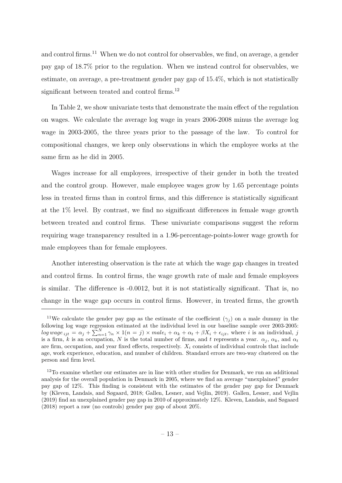and control firms.<sup>11</sup> When we do not control for observables, we find, on average, a gender pay gap of 18.7% prior to the regulation. When we instead control for observables, we estimate, on average, a pre-treatment gender pay gap of 15.4%, which is not statistically significant between treated and control firms.<sup>12</sup>

In Table 2, we show univariate tests that demonstrate the main effect of the regulation on wages. We calculate the average log wage in years 2006-2008 minus the average log wage in 2003-2005, the three years prior to the passage of the law. To control for compositional changes, we keep only observations in which the employee works at the same firm as he did in 2005.

Wages increase for all employees, irrespective of their gender in both the treated and the control group. However, male employee wages grow by 1.65 percentage points less in treated firms than in control firms, and this difference is statistically significant at the 1% level. By contrast, we find no significant differences in female wage growth between treated and control firms. These univariate comparisons suggest the reform requiring wage transparency resulted in a 1.96-percentage-points-lower wage growth for male employees than for female employees.

Another interesting observation is the rate at which the wage gap changes in treated and control firms. In control firms, the wage growth rate of male and female employees is similar. The difference is -0.0012, but it is not statistically significant. That is, no change in the wage gap occurs in control firms. However, in treated firms, the growth

<sup>&</sup>lt;sup>11</sup>We calculate the gender pay gap as the estimate of the coefficient  $(\gamma_i)$  on a male dummy in the following log wage regression estimated at the individual level in our baseline sample over 2003-2005:  $log\,wage_{ijt} = \alpha_j + \sum_{n=1}^{N} \gamma_n \times 1(n = j) \times male_i + \alpha_k + \alpha_t + \beta X_i + \epsilon_{ijt}$ , where i is an individual, j is a firm, *k* is an occupation, *N* is the total number of firms, and *t* represents a year.  $\alpha_j$ ,  $\alpha_k$ , and  $\alpha_t$ are firm, occupation, and year fixed effects, respectively.  $X_i$  consists of individual controls that include age, work experience, education, and number of children. Standard errors are two-way clustered on the person and firm level.

<sup>&</sup>lt;sup>12</sup>To examine whether our estimates are in line with other studies for Denmark, we run an additional analysis for the overall population in Denmark in 2005, where we find an average "unexplained" gender pay gap of 12%. This finding is consistent with the estimates of the gender pay gap for Denmark by (Kleven, Landais, and Søgaard, 2018; Gallen, Lesner, and Vejlin, 2019). Gallen, Lesner, and Vejlin (2019) find an unexplained gender pay gap in 2010 of approximately 12%. Kleven, Landais, and Søgaard (2018) report a raw (no controls) gender pay gap of about 20%.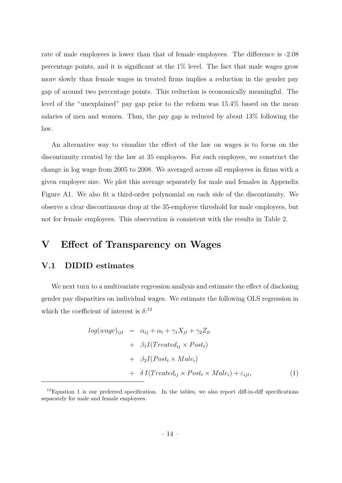rate of male employees is lower than that of female employees. The difference is -2.08 percentage points, and it is significant at the 1% level. The fact that male wages grow more slowly than female wages in treated firms implies a reduction in the gender pay gap of around two percentage points. This reduction is economically meaningful. The level of the "unexplained" pay gap prior to the reform was 15.4% based on the mean salaries of men and women. Thus, the pay gap is reduced by about 13% following the law.

An alternative way to visualize the effect of the law on wages is to focus on the discontinuity created by the law at 35 employees. For each employee, we construct the change in log wage from 2005 to 2008. We averaged across all employees in firms with a given employee size. We plot this average separately for male and females in Appendix Figure A1. We also fit a third-order polynomial on each side of the discontinuity. We observe a clear discontinuous drop at the 35-employee threshold for male employees, but not for female employees. This observation is consistent with the results in Table 2.

# **V Effect of Transparency on Wages**

### **V.1 DIDID estimates**

We next turn to a multivariate regression analysis and estimate the effect of disclosing gender pay disparities on individual wages. We estimate the following OLS regression in which the coefficient of interest is  $\delta$ <sup>:13</sup>

$$
log(wage)_{ijt} = \alpha_{ij} + \alpha_t + \gamma_1 X_{jt} + \gamma_2 Z_{it}
$$
  
+  $\beta_1 I(Treated_{ij} \times Post_t)$   
+  $\beta_2 I(Post_t \times Male_i)$   
+  $\delta I(Treated_{ij} \times Post_t \times Male_i) + \varepsilon_{ijt}$ , (1)

<sup>&</sup>lt;sup>13</sup>Equation 1 is our preferred specification. In the tables, we also report diff-in-diff specifications separately for male and female employees.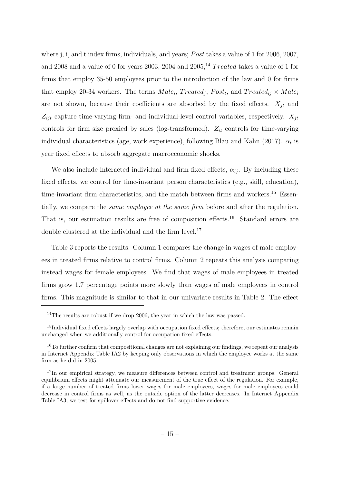where j, i, and t index firms, individuals, and years; *P ost* takes a value of 1 for 2006, 2007, and 2008 and a value of 0 for years 2003, 2004 and 2005;<sup>14</sup> *Treated* takes a value of 1 for firms that employ 35-50 employees prior to the introduction of the law and 0 for firms that employ 20-34 workers. The terms  $Male_i$ ,  $Treated_j$ ,  $Post_t$ , and  $Treated_{ij} \times Male_i$ are not shown, because their coefficients are absorbed by the fixed effects. *Xjt* and  $Z_{ijt}$  capture time-varying firm- and individual-level control variables, respectively.  $X_{it}$ controls for firm size proxied by sales (log-transformed). *Zit* controls for time-varying individual characteristics (age, work experience), following Blau and Kahn (2017).  $\alpha_t$  is year fixed effects to absorb aggregate macroeconomic shocks.

We also include interacted individual and firm fixed effects,  $\alpha_{ij}$ . By including these fixed effects, we control for time-invariant person characteristics (e.g., skill, education), time-invariant firm characteristics, and the match between firms and workers.<sup>15</sup> Essentially, we compare the *same employee at the same firm* before and after the regulation. That is, our estimation results are free of composition effects.<sup>16</sup> Standard errors are double clustered at the individual and the firm level.<sup>17</sup>

Table 3 reports the results. Column 1 compares the change in wages of male employees in treated firms relative to control firms. Column 2 repeats this analysis comparing instead wages for female employees. We find that wages of male employees in treated firms grow 1.7 percentage points more slowly than wages of male employees in control firms. This magnitude is similar to that in our univariate results in Table 2. The effect

<sup>&</sup>lt;sup>14</sup>The results are robust if we drop 2006, the year in which the law was passed.

<sup>&</sup>lt;sup>15</sup>Individual fixed effects largely overlap with occupation fixed effects; therefore, our estimates remain unchanged when we additionally control for occupation fixed effects.

<sup>&</sup>lt;sup>16</sup>To further confirm that compositional changes are not explaining our findings, we repeat our analysis in Internet Appendix Table IA2 by keeping only observations in which the employee works at the same firm as he did in 2005.

<sup>&</sup>lt;sup>17</sup>In our empirical strategy, we measure differences between control and treatment groups. General equilibrium effects might attenuate our measurement of the true effect of the regulation. For example, if a large number of treated firms lower wages for male employees, wages for male employees could decrease in control firms as well, as the outside option of the latter decreases. In Internet Appendix Table IA3, we test for spillover effects and do not find supportive evidence.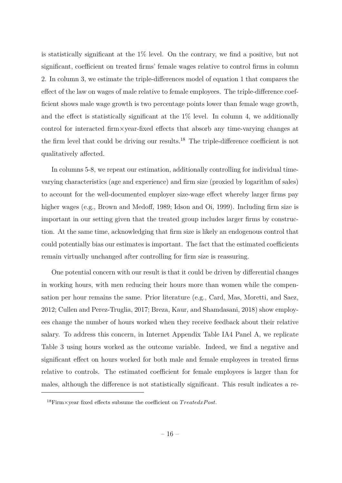is statistically significant at the  $1\%$  level. On the contrary, we find a positive, but not significant, coefficient on treated firms' female wages relative to control firms in column 2. In column 3, we estimate the triple-differences model of equation 1 that compares the effect of the law on wages of male relative to female employees. The triple-difference coefficient shows male wage growth is two percentage points lower than female wage growth, and the effect is statistically significant at the  $1\%$  level. In column 4, we additionally control for interacted firm×year-fixed effects that absorb any time-varying changes at the firm level that could be driving our results.<sup>18</sup> The triple-difference coefficient is not qualitatively affected.

In columns 5-8, we repeat our estimation, additionally controlling for individual timevarying characteristics (age and experience) and firm size (proxied by logarithm of sales) to account for the well-documented employer size-wage effect whereby larger firms pay higher wages (e.g., Brown and Medoff, 1989; Idson and Oi, 1999). Including firm size is important in our setting given that the treated group includes larger firms by construction. At the same time, acknowledging that firm size is likely an endogenous control that could potentially bias our estimates is important. The fact that the estimated coefficients remain virtually unchanged after controlling for firm size is reassuring.

One potential concern with our result is that it could be driven by differential changes in working hours, with men reducing their hours more than women while the compensation per hour remains the same. Prior literature (e.g., Card, Mas, Moretti, and Saez, 2012; Cullen and Perez-Truglia, 2017; Breza, Kaur, and Shamdasani, 2018) show employees change the number of hours worked when they receive feedback about their relative salary. To address this concern, in Internet Appendix Table IA4 Panel A, we replicate Table 3 using hours worked as the outcome variable. Indeed, we find a negative and significant effect on hours worked for both male and female employees in treated firms relative to controls. The estimated coefficient for female employees is larger than for males, although the difference is not statistically significant. This result indicates a re-

 $18$ Firm×year fixed effects subsume the coefficient on  $TreatedxPost$ .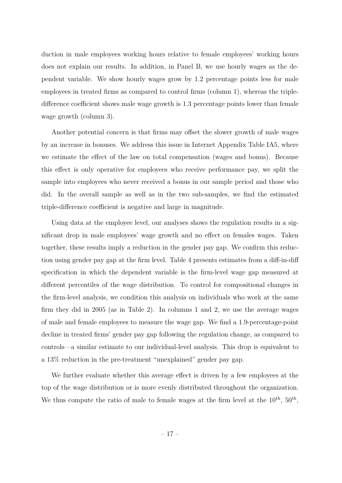duction in male employees working hours relative to female employees' working hours does not explain our results. In addition, in Panel B, we use hourly wages as the dependent variable. We show hourly wages grow by 1.2 percentage points less for male employees in treated firms as compared to control firms (column 1), whereas the tripledifference coefficient shows male wage growth is 1.3 percentage points lower than female wage growth (column 3).

Another potential concern is that firms may offset the slower growth of male wages by an increase in bonuses. We address this issue in Internet Appendix Table IA5, where we estimate the effect of the law on total compensation (wages and bonus). Because this effect is only operative for employees who receive performance pay, we split the sample into employees who never received a bonus in our sample period and those who did. In the overall sample as well as in the two sub-samples, we find the estimated triple-difference coefficient is negative and large in magnitude.

Using data at the employee level, our analyses shows the regulation results in a significant drop in male employees' wage growth and no effect on females wages. Taken together, these results imply a reduction in the gender pay gap. We confirm this reduction using gender pay gap at the firm level. Table 4 presents estimates from a diff-in-diff specification in which the dependent variable is the firm-level wage gap measured at different percentiles of the wage distribution. To control for compositional changes in the firm-level analysis, we condition this analysis on individuals who work at the same firm they did in 2005 (as in Table 2). In columns 1 and 2, we use the average wages of male and female employees to measure the wage gap. We find a 1.9-percentage-point decline in treated firms' gender pay gap following the regulation change, as compared to controls—a similar estimate to our individual-level analysis. This drop is equivalent to a 13% reduction in the pre-treatment "unexplained" gender pay gap.

We further evaluate whether this average effect is driven by a few employees at the top of the wage distribution or is more evenly distributed throughout the organization. We thus compute the ratio of male to female wages at the firm level at the  $10^{th}$ ,  $50^{th}$ ,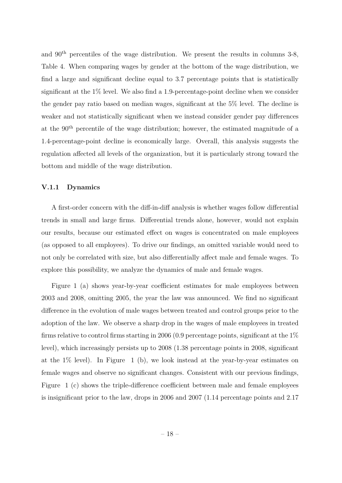and 90th percentiles of the wage distribution. We present the results in columns 3-8, Table 4. When comparing wages by gender at the bottom of the wage distribution, we find a large and significant decline equal to 3.7 percentage points that is statistically significant at the 1% level. We also find a 1.9-percentage-point decline when we consider the gender pay ratio based on median wages, significant at the 5% level. The decline is weaker and not statistically significant when we instead consider gender pay differences at the 90th percentile of the wage distribution; however, the estimated magnitude of a 1.4-percentage-point decline is economically large. Overall, this analysis suggests the regulation affected all levels of the organization, but it is particularly strong toward the bottom and middle of the wage distribution.

#### **V.1.1 Dynamics**

A first-order concern with the diff-in-diff analysis is whether wages follow differential trends in small and large firms. Differential trends alone, however, would not explain our results, because our estimated effect on wages is concentrated on male employees (as opposed to all employees). To drive our findings, an omitted variable would need to not only be correlated with size, but also differentially affect male and female wages. To explore this possibility, we analyze the dynamics of male and female wages.

Figure 1 (a) shows year-by-year coefficient estimates for male employees between 2003 and 2008, omitting 2005, the year the law was announced. We find no significant difference in the evolution of male wages between treated and control groups prior to the adoption of the law. We observe a sharp drop in the wages of male employees in treated firms relative to control firms starting in 2006 (0.9 percentage points, significant at the  $1\%$ level), which increasingly persists up to 2008 (1.38 percentage points in 2008, significant at the  $1\%$  level). In Figure 1 (b), we look instead at the year-by-year estimates on female wages and observe no significant changes. Consistent with our previous findings, Figure 1 (c) shows the triple-difference coefficient between male and female employees is insignificant prior to the law, drops in 2006 and 2007 (1.14 percentage points and 2.17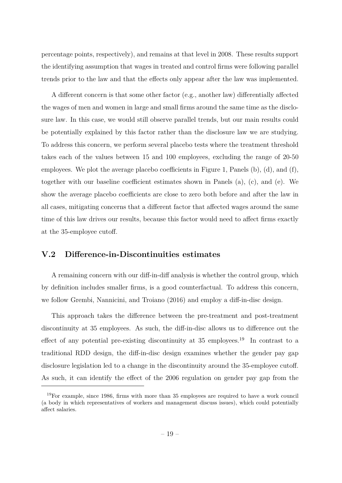percentage points, respectively), and remains at that level in 2008. These results support the identifying assumption that wages in treated and control firms were following parallel trends prior to the law and that the effects only appear after the law was implemented.

A different concern is that some other factor (e.g., another law) differentially affected the wages of men and women in large and small firms around the same time as the disclosure law. In this case, we would still observe parallel trends, but our main results could be potentially explained by this factor rather than the disclosure law we are studying. To address this concern, we perform several placebo tests where the treatment threshold takes each of the values between 15 and 100 employees, excluding the range of 20-50 employees. We plot the average placebo coefficients in Figure 1, Panels (b), (d), and (f), together with our baseline coefficient estimates shown in Panels (a), (c), and (e). We show the average placebo coefficients are close to zero both before and after the law in all cases, mitigating concerns that a different factor that affected wages around the same time of this law drives our results, because this factor would need to affect firms exactly at the 35-employee cutoff.

## **V.2 Difference-in-Discontinuities estimates**

A remaining concern with our diff-in-diff analysis is whether the control group, which by definition includes smaller firms, is a good counterfactual. To address this concern, we follow Grembi, Nannicini, and Troiano (2016) and employ a diff-in-disc design.

This approach takes the difference between the pre-treatment and post-treatment discontinuity at 35 employees. As such, the diff-in-disc allows us to difference out the effect of any potential pre-existing discontinuity at  $35$  employees.<sup>19</sup> In contrast to a traditional RDD design, the diff-in-disc design examines whether the gender pay gap disclosure legislation led to a change in the discontinuity around the 35-employee cutoff. As such, it can identify the effect of the 2006 regulation on gender pay gap from the

<sup>19</sup>For example, since 1986, firms with more than 35 employees are required to have a work council (a body in which representatives of workers and management discuss issues), which could potentially affect salaries.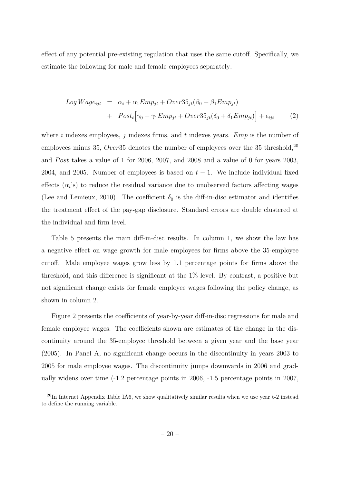effect of any potential pre-existing regulation that uses the same cutoff. Specifically, we estimate the following for male and female employees separately:

$$
Log Wage_{ijt} = \alpha_i + \alpha_1 Emp_{jt} + Over35_{jt}(\beta_0 + \beta_1 Emp_{jt})
$$
  
+ 
$$
Post_t [\gamma_0 + \gamma_1 Emp_{jt} + Over35_{jt}(\delta_0 + \delta_1 Emp_{jt})] + \epsilon_{ijt}
$$
 (2)

where *i* indexes employees, *j* indexes firms, and *t* indexes years. *Emp* is the number of employees minus 35, *Over* 35 denotes the number of employees over the 35 threshold,<sup>20</sup> and *Post* takes a value of 1 for 2006, 2007, and 2008 and a value of 0 for years 2003, 2004, and 2005. Number of employees is based on  $t-1$ . We include individual fixed effects  $(\alpha_i)$  to reduce the residual variance due to unobserved factors affecting wages (Lee and Lemieux, 2010). The coefficient  $\delta_0$  is the diff-in-disc estimator and identifies the treatment effect of the pay-gap disclosure. Standard errors are double clustered at the individual and firm level.

Table 5 presents the main diff-in-disc results. In column 1, we show the law has a negative effect on wage growth for male employees for firms above the 35-employee cutoff. Male employee wages grow less by 1.1 percentage points for firms above the threshold, and this difference is significant at the 1% level. By contrast, a positive but not significant change exists for female employee wages following the policy change, as shown in column 2.

Figure 2 presents the coefficients of year-by-year diff-in-disc regressions for male and female employee wages. The coefficients shown are estimates of the change in the discontinuity around the 35-employee threshold between a given year and the base year (2005). In Panel A, no significant change occurs in the discontinuity in years 2003 to 2005 for male employee wages. The discontinuity jumps downwards in 2006 and gradually widens over time (-1.2 percentage points in 2006, -1.5 percentage points in 2007,

<sup>&</sup>lt;sup>20</sup>In Internet Appendix Table IA6, we show qualitatively similar results when we use year t-2 instead to define the running variable.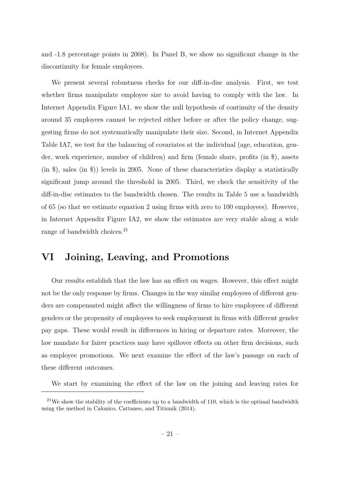and -1.8 percentage points in 2008). In Panel B, we show no significant change in the discontinuity for female employees.

We present several robustness checks for our diff-in-disc analysis. First, we test whether firms manipulate employee size to avoid having to comply with the law. In Internet Appendix Figure IA1, we show the null hypothesis of continuity of the density around 35 employees cannot be rejected either before or after the policy change, suggesting firms do not systematically manipulate their size. Second, in Internet Appendix Table IA7, we test for the balancing of covariates at the individual (age, education, gender, work experience, number of children) and firm (female share, profits (in \$), assets (in \$), sales (in \$)) levels in 2005. None of these characteristics display a statistically significant jump around the threshold in 2005. Third, we check the sensitivity of the diff-in-disc estimates to the bandwidth chosen. The results in Table 5 use a bandwidth of 65 (so that we estimate equation 2 using firms with zero to 100 employees). However, in Internet Appendix Figure IA2, we show the estimates are very stable along a wide range of bandwidth choices.<sup>21</sup>

# **VI Joining, Leaving, and Promotions**

Our results establish that the law has an effect on wages. However, this effect might not be the only response by firms. Changes in the way similar employees of different genders are compensated might affect the willingness of firms to hire employees of different genders or the propensity of employees to seek employment in firms with different gender pay gaps. These would result in differences in hiring or departure rates. Moreover, the law mandate for fairer practices may have spillover effects on other firm decisions, such as employee promotions. We next examine the effect of the law's passage on each of these different outcomes.

We start by examining the effect of the law on the joining and leaving rates for

 $21$ We show the stability of the coefficients up to a bandwidth of 110, which is the optimal bandwidth using the method in Calonico, Cattaneo, and Titiunik (2014).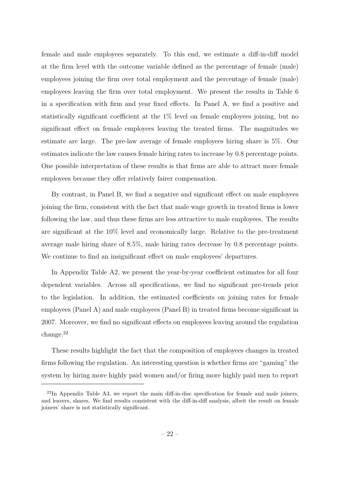female and male employees separately. To this end, we estimate a diff-in-diff model at the firm level with the outcome variable defined as the percentage of female (male) employees joining the firm over total employment and the percentage of female (male) employees leaving the firm over total employment. We present the results in Table 6 in a specification with firm and year fixed effects. In Panel A, we find a positive and statistically significant coefficient at the 1% level on female employees joining, but no significant effect on female employees leaving the treated firms. The magnitudes we estimate are large. The pre-law average of female employees hiring share is 5%. Our estimates indicate the law causes female hiring rates to increase by 0.8 percentage points. One possible interpretation of these results is that firms are able to attract more female employees because they offer relatively fairer compensation.

By contrast, in Panel B, we find a negative and significant effect on male employees joining the firm, consistent with the fact that male wage growth in treated firms is lower following the law, and thus these firms are less attractive to male employees. The results are significant at the 10% level and economically large. Relative to the pre-treatment average male hiring share of 8.5%, male hiring rates decrease by 0.8 percentage points. We continue to find an insignificant effect on male employees' departures.

In Appendix Table A2, we present the year-by-year coefficient estimates for all four dependent variables. Across all specifications, we find no significant pre-trends prior to the legislation. In addition, the estimated coefficients on joining rates for female employees (Panel A) and male employees (Panel B) in treated firms become significant in 2007. Moreover, we find no significant effects on employees leaving around the regulation change.<sup>22</sup>

These results highlight the fact that the composition of employees changes in treated firms following the regulation. An interesting question is whether firms are "gaming" the system by hiring more highly paid women and/or firing more highly paid men to report

 $^{22}$ In Appendix Table A3, we report the main diff-in-disc specification for female and male joiners, and leavers, shares. We find results consistent with the diff-in-diff analysis, albeit the result on female joiners' share is not statistically significant.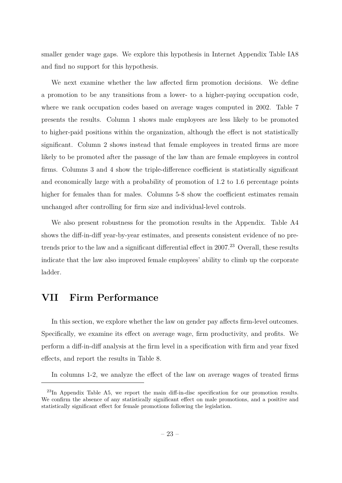smaller gender wage gaps. We explore this hypothesis in Internet Appendix Table IA8 and find no support for this hypothesis.

We next examine whether the law affected firm promotion decisions. We define a promotion to be any transitions from a lower- to a higher-paying occupation code, where we rank occupation codes based on average wages computed in 2002. Table 7 presents the results. Column 1 shows male employees are less likely to be promoted to higher-paid positions within the organization, although the effect is not statistically significant. Column 2 shows instead that female employees in treated firms are more likely to be promoted after the passage of the law than are female employees in control firms. Columns 3 and 4 show the triple-difference coefficient is statistically significant and economically large with a probability of promotion of 1.2 to 1.6 percentage points higher for females than for males. Columns 5-8 show the coefficient estimates remain unchanged after controlling for firm size and individual-level controls.

We also present robustness for the promotion results in the Appendix. Table A4 shows the diff-in-diff year-by-year estimates, and presents consistent evidence of no pretrends prior to the law and a significant differential effect in 2007.<sup>23</sup> Overall, these results indicate that the law also improved female employees' ability to climb up the corporate ladder.

# **VII Firm Performance**

In this section, we explore whether the law on gender pay affects firm-level outcomes. Specifically, we examine its effect on average wage, firm productivity, and profits. We perform a diff-in-diff analysis at the firm level in a specification with firm and year fixed effects, and report the results in Table 8.

In columns 1-2, we analyze the effect of the law on average wages of treated firms

<sup>&</sup>lt;sup>23</sup>In Appendix Table A5, we report the main diff-in-disc specification for our promotion results. We confirm the absence of any statistically significant effect on male promotions, and a positive and statistically significant effect for female promotions following the legislation.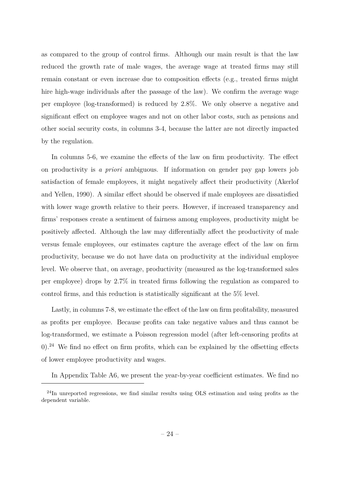as compared to the group of control firms. Although our main result is that the law reduced the growth rate of male wages, the average wage at treated firms may still remain constant or even increase due to composition effects (e.g., treated firms might hire high-wage individuals after the passage of the law). We confirm the average wage per employee (log-transformed) is reduced by 2.8%. We only observe a negative and significant effect on employee wages and not on other labor costs, such as pensions and other social security costs, in columns 3-4, because the latter are not directly impacted by the regulation.

In columns 5-6, we examine the effects of the law on firm productivity. The effect on productivity is *a priori* ambiguous. If information on gender pay gap lowers job satisfaction of female employees, it might negatively affect their productivity (Akerlof and Yellen, 1990). A similar effect should be observed if male employees are dissatisfied with lower wage growth relative to their peers. However, if increased transparency and firms' responses create a sentiment of fairness among employees, productivity might be positively affected. Although the law may differentially affect the productivity of male versus female employees, our estimates capture the average effect of the law on firm productivity, because we do not have data on productivity at the individual employee level. We observe that, on average, productivity (measured as the log-transformed sales per employee) drops by 2.7% in treated firms following the regulation as compared to control firms, and this reduction is statistically significant at the 5% level.

Lastly, in columns 7-8, we estimate the effect of the law on firm profitability, measured as profits per employee. Because profits can take negative values and thus cannot be log-transformed, we estimate a Poisson regression model (after left-censoring profits at  $0$ ).<sup>24</sup> We find no effect on firm profits, which can be explained by the offsetting effects of lower employee productivity and wages.

In Appendix Table A6, we present the year-by-year coefficient estimates. We find no

<sup>24</sup>In unreported regressions, we find similar results using OLS estimation and using profits as the dependent variable.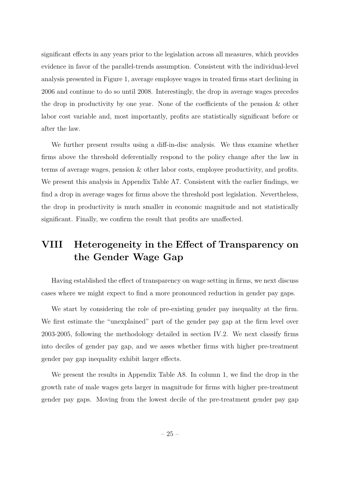significant effects in any years prior to the legislation across all measures, which provides evidence in favor of the parallel-trends assumption. Consistent with the individual-level analysis presented in Figure 1, average employee wages in treated firms start declining in 2006 and continue to do so until 2008. Interestingly, the drop in average wages precedes the drop in productivity by one year. None of the coefficients of the pension & other labor cost variable and, most importantly, profits are statistically significant before or after the law.

We further present results using a diff-in-disc analysis. We thus examine whether firms above the threshold deferentially respond to the policy change after the law in terms of average wages, pension & other labor costs, employee productivity, and profits. We present this analysis in Appendix Table A7. Consistent with the earlier findings, we find a drop in average wages for firms above the threshold post legislation. Nevertheless, the drop in productivity is much smaller in economic magnitude and not statistically significant. Finally, we confirm the result that profits are unaffected.

# **VIII Heterogeneity in the Effect of Transparency on the Gender Wage Gap**

Having established the effect of transparency on wage setting in firms, we next discuss cases where we might expect to find a more pronounced reduction in gender pay gaps.

We start by considering the role of pre-existing gender pay inequality at the firm. We first estimate the "unexplained" part of the gender pay gap at the firm level over 2003-2005, following the methodology detailed in section IV.2. We next classify firms into deciles of gender pay gap, and we asses whether firms with higher pre-treatment gender pay gap inequality exhibit larger effects.

We present the results in Appendix Table A8. In column 1, we find the drop in the growth rate of male wages gets larger in magnitude for firms with higher pre-treatment gender pay gaps. Moving from the lowest decile of the pre-treatment gender pay gap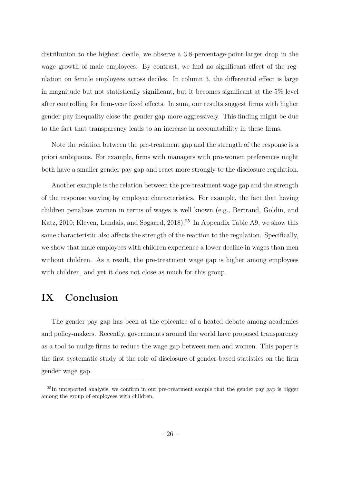distribution to the highest decile, we observe a 3.8-percentage-point-larger drop in the wage growth of male employees. By contrast, we find no significant effect of the regulation on female employees across deciles. In column 3, the differential effect is large in magnitude but not statistically significant, but it becomes significant at the 5% level after controlling for firm-year fixed effects. In sum, our results suggest firms with higher gender pay inequality close the gender gap more aggressively. This finding might be due to the fact that transparency leads to an increase in accountability in these firms.

Note the relation between the pre-treatment gap and the strength of the response is a priori ambiguous. For example, firms with managers with pro-women preferences might both have a smaller gender pay gap and react more strongly to the disclosure regulation.

Another example is the relation between the pre-treatment wage gap and the strength of the response varying by employee characteristics. For example, the fact that having children penalizes women in terms of wages is well known (e.g., Bertrand, Goldin, and Katz, 2010; Kleven, Landais, and Søgaard, 2018).<sup>25</sup> In Appendix Table A9, we show this same characteristic also affects the strength of the reaction to the regulation. Specifically, we show that male employees with children experience a lower decline in wages than men without children. As a result, the pre-treatment wage gap is higher among employees with children, and yet it does not close as much for this group.

# **IX Conclusion**

The gender pay gap has been at the epicentre of a heated debate among academics and policy-makers. Recently, governments around the world have proposed transparency as a tool to nudge firms to reduce the wage gap between men and women. This paper is the first systematic study of the role of disclosure of gender-based statistics on the firm gender wage gap.

 $^{25}$ In unreported analysis, we confirm in our pre-treatment sample that the gender pay gap is bigger among the group of employees with children.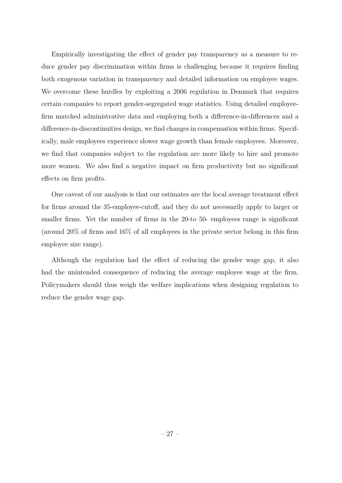Empirically investigating the effect of gender pay transparency as a measure to reduce gender pay discrimination within firms is challenging because it requires finding both exogenous variation in transparency and detailed information on employee wages. We overcome these hurdles by exploiting a 2006 regulation in Denmark that requires certain companies to report gender-segregated wage statistics. Using detailed employeefirm matched administrative data and employing both a difference-in-differences and a difference-in-discontinuities design, we find changes in compensation within firms. Specifically, male employees experience slower wage growth than female employees. Moreover, we find that companies subject to the regulation are more likely to hire and promote more women. We also find a negative impact on firm productivity but no significant effects on firm profits.

One caveat of our analysis is that our estimates are the local average treatment effect for firms around the 35-employee-cutoff, and they do not necessarily apply to larger or smaller firms. Yet the number of firms in the 20-to 50- employees range is significant (around 20% of firms and 16% of all employees in the private sector belong in this firm employee size range).

Although the regulation had the effect of reducing the gender wage gap, it also had the unintended consequence of reducing the average employee wage at the firm. Policymakers should thus weigh the welfare implications when designing regulation to reduce the gender wage gap.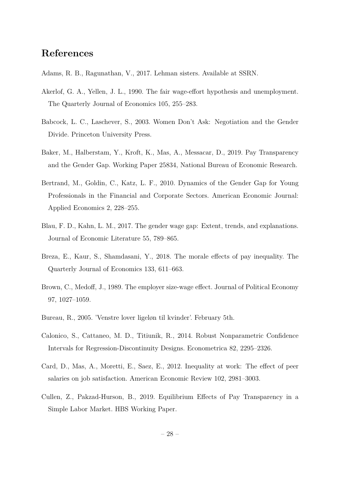# **References**

- Adams, R. B., Ragunathan, V., 2017. Lehman sisters. Available at SSRN.
- Akerlof, G. A., Yellen, J. L., 1990. The fair wage-effort hypothesis and unemployment. The Quarterly Journal of Economics 105, 255–283.
- Babcock, L. C., Laschever, S., 2003. Women Don't Ask: Negotiation and the Gender Divide. Princeton University Press.
- Baker, M., Halberstam, Y., Kroft, K., Mas, A., Messacar, D., 2019. Pay Transparency and the Gender Gap. Working Paper 25834, National Bureau of Economic Research.
- Bertrand, M., Goldin, C., Katz, L. F., 2010. Dynamics of the Gender Gap for Young Professionals in the Financial and Corporate Sectors. American Economic Journal: Applied Economics 2, 228–255.
- Blau, F. D., Kahn, L. M., 2017. The gender wage gap: Extent, trends, and explanations. Journal of Economic Literature 55, 789–865.
- Breza, E., Kaur, S., Shamdasani, Y., 2018. The morale effects of pay inequality. The Quarterly Journal of Economics 133, 611–663.
- Brown, C., Medoff, J., 1989. The employer size-wage effect. Journal of Political Economy 97, 1027–1059.
- Bureau, R., 2005. 'Venstre lover ligeløn til kvinder'. February 5th.
- Calonico, S., Cattaneo, M. D., Titiunik, R., 2014. Robust Nonparametric Confidence Intervals for Regression-Discontinuity Designs. Econometrica 82, 2295–2326.
- Card, D., Mas, A., Moretti, E., Saez, E., 2012. Inequality at work: The effect of peer salaries on job satisfaction. American Economic Review 102, 2981–3003.
- Cullen, Z., Pakzad-Hurson, B., 2019. Equilibrium Effects of Pay Transparency in a Simple Labor Market. HBS Working Paper.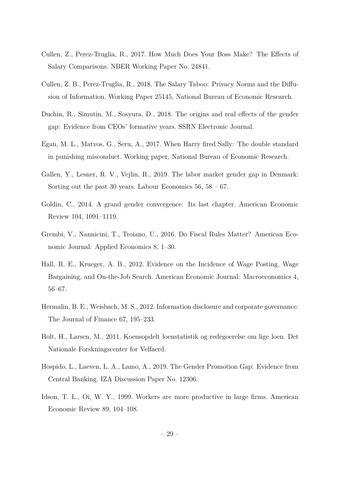- Cullen, Z., Perez-Truglia, R., 2017. How Much Does Your Boss Make? The Effects of Salary Comparisons. NBER Working Paper No. 24841.
- Cullen, Z. B., Perez-Truglia, R., 2018. The Salary Taboo: Privacy Norms and the Diffusion of Information. Working Paper 25145, National Bureau of Economic Research.
- Duchin, R., Simutin, M., Sosyura, D., 2018. The origins and real effects of the gender gap: Evidence from CEOs' formative years. SSRN Electronic Journal.
- Egan, M. L., Matvos, G., Seru, A., 2017. When Harry fired Sally: The double standard in punishing misconduct. Working paper, National Bureau of Economic Research.
- Gallen, Y., Lesner, R. V., Vejlin, R., 2019. The labor market gender gap in Denmark: Sorting out the past 30 years. Labour Economics  $56, 58 - 67$ .
- Goldin, C., 2014. A grand gender convergence: Its last chapter. American Economic Review 104, 1091–1119.
- Grembi, V., Nannicini, T., Troiano, U., 2016. Do Fiscal Rules Matter? American Economic Journal: Applied Economics 8, 1–30.
- Hall, R. E., Krueger, A. B., 2012. Evidence on the Incidence of Wage Posting, Wage Bargaining, and On-the-Job Search. American Economic Journal: Macroeconomics 4, 56–67.
- Hermalin, B. E., Weisbach, M. S., 2012. Information disclosure and corporate governance. The Journal of Finance 67, 195–233.
- Holt, H., Larsen, M., 2011. Koensopdelt loenstatistik og redegoerelse om lige loen. Det Nationale Forskningscenter for Velfaerd.
- Hospido, L., Laeven, L. A., Lamo, A., 2019. The Gender Promotion Gap: Evidence from Central Banking. IZA Discussion Paper No. 12306.
- Idson, T. L., Oi, W. Y., 1999. Workers are more productive in large firms. American Economic Review 89, 104–108.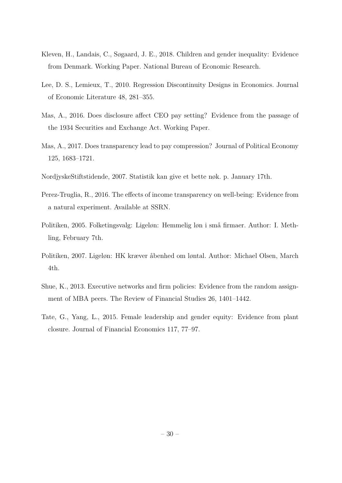- Kleven, H., Landais, C., Søgaard, J. E., 2018. Children and gender inequality: Evidence from Denmark. Working Paper. National Bureau of Economic Research.
- Lee, D. S., Lemieux, T., 2010. Regression Discontinuity Designs in Economics. Journal of Economic Literature 48, 281–355.
- Mas, A., 2016. Does disclosure affect CEO pay setting? Evidence from the passage of the 1934 Securities and Exchange Act. Working Paper.
- Mas, A., 2017. Does transparency lead to pay compression? Journal of Political Economy 125, 1683–1721.
- NordjyskeStiftstidende, 2007. Statistik kan give et bette nøk. p. January 17th.
- Perez-Truglia, R., 2016. The effects of income transparency on well-being: Evidence from a natural experiment. Available at SSRN.
- Politiken, 2005. Folketingsvalg: Ligeløn: Hemmelig løn i små firmaer. Author: I. Methling, February 7th.
- Politiken, 2007. Ligeløn: HK kræver åbenhed om løntal. Author: Michael Olsen, March 4th.
- Shue, K., 2013. Executive networks and firm policies: Evidence from the random assignment of MBA peers. The Review of Financial Studies 26, 1401–1442.
- Tate, G., Yang, L., 2015. Female leadership and gender equity: Evidence from plant closure. Journal of Financial Economics 117, 77–97.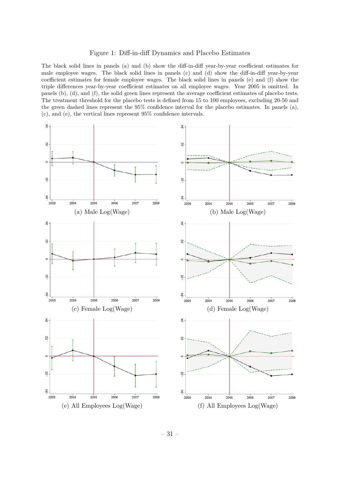Figure 1: Diff-in-diff Dynamics and Placebo Estimates

The black solid lines in panels (a) and (b) show the diff-in-diff year-by-year coefficient estimates for male employee wages. The black solid lines in panels (c) and (d) show the diff-in-diff year-by-year coefficient estimates for female employee wages. The black solid lines in panels (e) and (f) show the triple differences year-by-year coefficient estimates on all employee wages. Year 2005 is omitted. In panels (b), (d), and (f), the solid green lines represent the average coefficient estimates of placebo tests. The treatment threshold for the placebo tests is defined from 15 to 100 employees, excluding 20-50 and the green dashed lines represent the 95% confidence interval for the placebo estimates. In panels (a), (c), and (e), the vertical lines represent 95% confidence intervals.

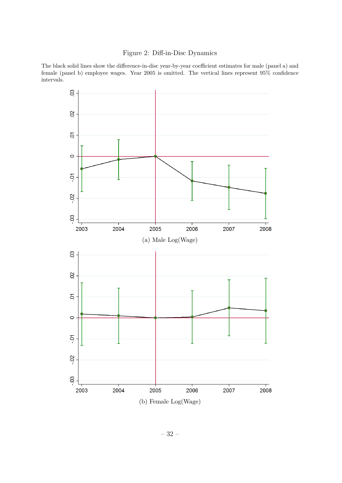### Figure 2: Diff-in-Disc Dynamics

The black solid lines show the difference-in-disc year-by-year coefficient estimates for male (panel a) and female (panel b) employee wages. Year 2005 is omitted. The vertical lines represent 95% confidence intervals.

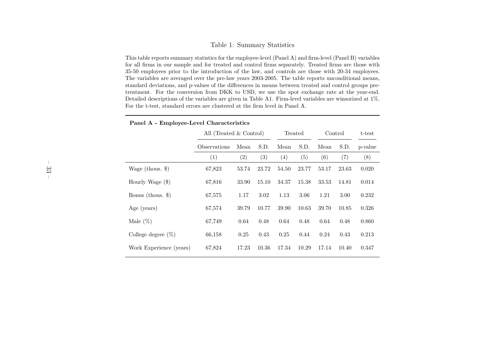#### Table 1: Summary Statistics

This table reports summary statistics for the employee-level (Panel A) and firm-level (Panel B) variables for all firms in our sample and for treated and control firms separately. Treated firms are those with 35-50 employees prior to the introduction of the law, and controls are those with 20-34 employees. The variables are averaged over the pre-law years 2003-2005. The table reports unconditional means, standard deviations, and p-values of the differences in means between treated and control groups pretreatment. For the conversion from DKK to USD, we use the spot exchange rate at the year-end. Detailed descriptions of the variables are <sup>g</sup>iven in Table A1. Firm-level variables are winsorized at 1%.For the t-test, standard errors are clustered at the firm level in Panel A.

|                         | All (Treated & Control) |                   |       | Treated           |       | Control |       | t-test  |
|-------------------------|-------------------------|-------------------|-------|-------------------|-------|---------|-------|---------|
|                         | Observations            | Mean              | S.D.  | Mean              | S.D.  | Mean    | S.D.  | p-value |
|                         | (1)                     | $\left( 2\right)$ | (3)   | $\left( 4\right)$ | (5)   | (6)     | (7)   | (8)     |
| Wage (thous. $\})$      | 67,823                  | 53.74             | 23.72 | 54.50             | 23.77 | 53.17   | 23.63 | 0.020   |
| Hourly Wage (\$)        | 67,816                  | 33.90             | 15.10 | 34.37             | 15.38 | 33.53   | 14.81 | 0.014   |
| Bonus (thous. $\})$     | 67,575                  | 1.17              | 3.02  | 1.13              | 3.06  | 1.21    | 3.00  | 0.232   |
| Age (years)             | 67,574                  | 39.79             | 10.77 | 39.90             | 10.63 | 39.70   | 10.85 | 0.326   |
| Male $(\%)$             | 67,749                  | 0.64              | 0.48  | 0.64              | 0.48  | 0.64    | 0.48  | 0.860   |
| College degree $(\%)$   | 66,158                  | 0.25              | 0.43  | 0.25              | 0.44  | 0.24    | 0.43  | 0.213   |
| Work Experience (years) | 67,824                  | 17.23             | 10.36 | 17.34             | 10.29 | 17.14   | 10.40 | 0.347   |

#### **Panel A - Employee-Level Characteristics**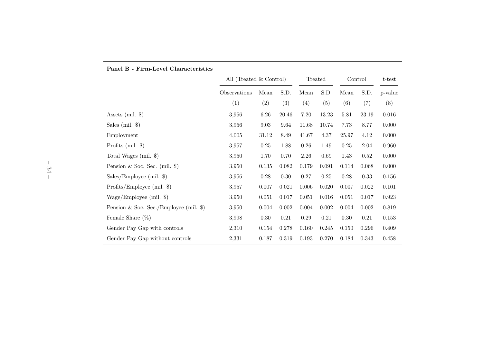|                                          | All (Treated & Control) |       |                   | Treated     |          | Control |       | $t$ -test |
|------------------------------------------|-------------------------|-------|-------------------|-------------|----------|---------|-------|-----------|
|                                          | Observations            | Mean  | S.D.              | Mean        | S.D.     | Mean    | S.D.  | p-value   |
|                                          | (1)                     | (2)   | $\left( 3\right)$ | (4)         | (5)      | (6)     | (7)   | (8)       |
| Assets (mil. $\})$                       | 3,956                   | 6.26  | 20.46             | $7.20\,$    | 13.23    | 5.81    | 23.19 | 0.016     |
| Sales (mil. $\})$                        | 3,956                   | 9.03  | 9.64              | 11.68       | 10.74    | 7.73    | 8.77  | 0.000     |
| Employment                               | 4,005                   | 31.12 | $8.49\,$          | 41.67       | 4.37     | 25.97   | 4.12  | 0.000     |
| Profits $(mil.$ $\})$                    | 3,957                   | 0.25  | 1.88              | 0.26        | 1.49     | 0.25    | 2.04  | 0.960     |
| Total Wages (mil. \$)                    | 3,950                   | 1.70  | 0.70              | 2.26        | 0.69     | 1.43    | 0.52  | 0.000     |
| Pension & Soc. Sec. (mil. $\})$          | 3,950                   | 0.135 | 0.082             | 0.179       | 0.091    | 0.114   | 0.068 | 0.000     |
| $Sales/Employee$ (mil. \$)               | 3,956                   | 0.28  | 0.30              | 0.27        | $0.25\,$ | 0.28    | 0.33  | $0.156\,$ |
| Profits/Employee (mil. $\})$             | 3,957                   | 0.007 | 0.021             | 0.006       | 0.020    | 0.007   | 0.022 | 0.101     |
| Wage/Employee (mil. $\})$                | 3,950                   | 0.051 | 0.017             | 0.051       | 0.016    | 0.051   | 0.017 | 0.923     |
| Pension & Soc. Sec./Employee (mil. $\})$ | 3,950                   | 0.004 | 0.002             | 0.004       | 0.002    | 0.004   | 0.002 | 0.819     |
| Female Share $(\%)$                      | 3,998                   | 0.30  | 0.21              | 0.29        | 0.21     | 0.30    | 0.21  | 0.153     |
| Gender Pay Gap with controls             | 2,310                   | 0.154 | 0.278             | 0.160       | 0.245    | 0.150   | 0.296 | 0.409     |
| Gender Pay Gap without controls          | 2,331                   | 0.187 | 0.319             | $\,0.193\,$ | 0.270    | 0.184   | 0.343 | 0.458     |

### **Panel B - Firm-Level Characteristics**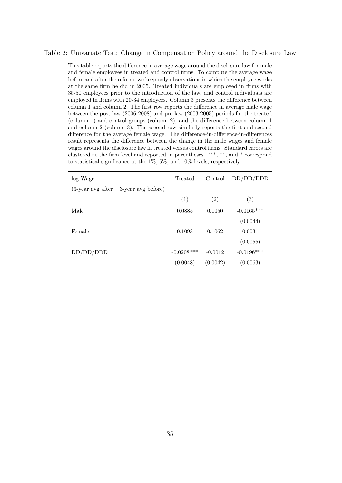#### Table 2: Univariate Test: Change in Compensation Policy around the Disclosure Law

This table reports the difference in average wage around the disclosure law for male and female employees in treated and control firms. To compute the average wage before and after the reform, we keep only observations in which the employee works at the same firm he did in 2005. Treated individuals are employed in firms with 35-50 employees prior to the introduction of the law, and control individuals are employed in firms with 20-34 employees. Column 3 presents the difference between column 1 and column 2. The first row reports the difference in average male wage between the post-law (2006-2008) and pre-law (2003-2005) periods for the treated (column 1) and control groups (column 2), and the difference between column 1 and column 2 (column 3). The second row similarly reports the first and second difference for the average female wage. The difference-in-difference-in-differences result represents the difference between the change in the male wages and female wages around the disclosure law in treated versus control firms. Standard errors are clustered at the firm level and reported in parentheses. \*\*\*, \*\*, and \* correspond to statistical significance at the 1%, 5%, and 10% levels, respectively.

| log Wage                                    | Treated      | Control           | DD/DD/DDD    |
|---------------------------------------------|--------------|-------------------|--------------|
| $(3$ -year avg after $-3$ -year avg before) |              |                   |              |
|                                             | (1)          | $\left( 2\right)$ | (3)          |
| Male                                        | 0.0885       | 0.1050            | $-0.0165***$ |
|                                             |              |                   | (0.0044)     |
| Female                                      | 0.1093       | 0.1062            | 0.0031       |
|                                             |              |                   | (0.0055)     |
| DD/DD/DDD                                   | $-0.0208***$ | $-0.0012$         | $-0.0196***$ |
|                                             | (0.0048)     | (0.0042)          | (0.0063)     |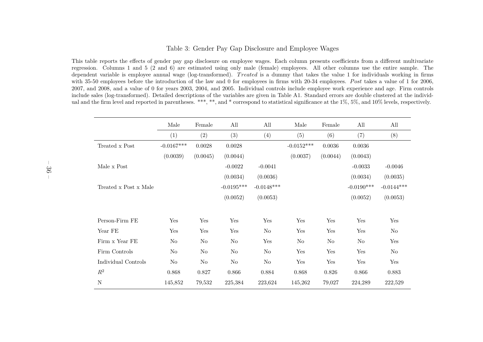#### Table 3: Gender Pay Gap Disclosure and Employee Wages

This table reports the effects of gender pay gap disclosure on employee wages. Each column presents coefficients from <sup>a</sup> different multivariate regression. Columns <sup>1</sup> and <sup>5</sup> (2 and 6) are estimated using only male (female) employees. All other columns use the entire sample. Thedependent variable is employee annual wage (log-transformed). *Treated* is a dummy that takes the value 1 for individuals working in firms with 35-50 employees before the introduction of the law and 0 for employees in firms with 20-34 employees. Post takes a value of 1 for 2006, 2007, and 2008, and <sup>a</sup> value of 0 for years 2003, 2004, and 2005. Individual controls include employee work experience and age. Firm controls include sales (log-transformed). Detailed descriptions of the variables are <sup>g</sup>iven in Table A1. Standard errors are double clustered at the individual and the firm level and reported in parentheses. \*\*\*, \*\*, and \* correspond to statistical significance at the 1%, 5%, and 10% levels, respectively.

|                       | Male         | Female   | All          | All          | Male           | Female   | All          | All            |
|-----------------------|--------------|----------|--------------|--------------|----------------|----------|--------------|----------------|
|                       | (1)          | (2)      | (3)          | (4)          | (5)            | (6)      | (7)          | (8)            |
| Treated x Post        | $-0.0167***$ | 0.0028   | 0.0028       |              | $-0.0152***$   | 0.0036   | 0.0036       |                |
|                       | (0.0039)     | (0.0045) | (0.0044)     |              | (0.0037)       | (0.0044) | (0.0043)     |                |
| Male x Post           |              |          | $-0.0022$    | $-0.0041$    |                |          | $-0.0033$    | $-0.0046$      |
|                       |              |          | (0.0034)     | (0.0036)     |                |          | (0.0034)     | (0.0035)       |
| Treated x Post x Male |              |          | $-0.0195***$ | $-0.0148***$ |                |          | $-0.0190***$ | $-0.0144***$   |
|                       |              |          | (0.0052)     | (0.0053)     |                |          | (0.0052)     | (0.0053)       |
|                       |              |          |              |              |                |          |              |                |
| Person-Firm FE        | Yes          | Yes      | Yes          | Yes          | Yes            | Yes      | Yes          | Yes            |
| Year FE               | Yes          | Yes      | Yes          | No           | Yes            | Yes      | Yes          | No             |
| Firm x Year FE        | $\rm No$     | No       | No           | Yes          | N <sub>o</sub> | No       | No           | Yes            |
| Firm Controls         | $\rm No$     | $\rm No$ | $\rm No$     | $\rm No$     | Yes            | Yes      | Yes          | N <sub>o</sub> |
| Individual Controls   | No           | No       | No           | No           | Yes            | Yes      | Yes          | Yes            |
| $\mathbb{R}^2$        | 0.868        | 0.827    | 0.866        | 0.884        | 0.868          | 0.826    | 0.866        | 0.883          |
| $\mathbf N$           | 145,852      | 79,532   | 225,384      | 223,624      | 145,262        | 79,027   | 224,289      | 222,529        |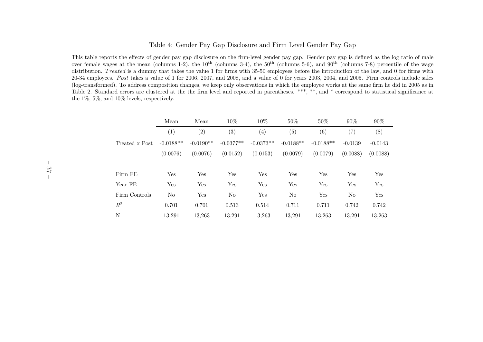#### Table 4: Gender Pay Gap Disclosure and Firm Level Gender Pay Gap

This table reports the effects of gender pay gap disclosure on the firm-level gender pay gap. Gender pay gap is defined as the log ratio of maleover female wages at the mean (columns 1-2), the  $10^{th}$  (columns 3-4), the  $50^{th}$  (columns 5-6), and  $90^{th}$  (columns 7-8) percentile of the wage distribution. *Treated* is a dummy that takes the value 1 for firms with 35-50 employees before the introduction of the law, and 0 for firms with 20-34 employees. *P ost* takes <sup>a</sup> value of <sup>1</sup> for 2006, 2007, and 2008, and <sup>a</sup> value of <sup>0</sup> for years 2003, 2004, and 2005. Firm controls include sales (log-transformed). To address composition changes, we keep only observations in which the employee works at the same firm he did in <sup>2005</sup> as inTable 2. Standard errors are clustered at the the firm level and reported in parentheses. \*\*\*, \*\*, and \* correspond to statistical significance at the 1%, 5%, and 10% levels, respectively.

|                | Mean        | Mean              | $10\%$            | 10\%              | $50\%$      | 50%         | 90%       | 90%       |
|----------------|-------------|-------------------|-------------------|-------------------|-------------|-------------|-----------|-----------|
|                | (1)         | $\left( 2\right)$ | $\left( 3\right)$ | $\left( 4\right)$ | (5)         | (6)         | (7)       | (8)       |
| Treated x Post | $-0.0188**$ | $-0.0190**$       | $-0.0377**$       | $-0.0373**$       | $-0.0188**$ | $-0.0188**$ | $-0.0139$ | $-0.0143$ |
|                | (0.0076)    | (0.0076)          | (0.0152)          | (0.0153)          | (0.0079)    | (0.0079)    | (0.0088)  | (0.0088)  |
|                |             |                   |                   |                   |             |             |           |           |
| Firm FE        | Yes         | Yes               | Yes               | Yes               | Yes         | Yes         | Yes       | Yes       |
| Year FE        | Yes         | Yes               | Yes               | Yes               | Yes         | Yes         | Yes       | Yes       |
| Firm Controls  | No          | Yes               | N <sub>o</sub>    | Yes               | $\rm No$    | Yes         | No        | Yes       |
| $R^2$          | 0.701       | 0.701             | 0.513             | 0.514             | 0.711       | 0.711       | 0.742     | 0.742     |
| N              | 13,291      | 13,263            | 13,291            | 13,263            | 13,291      | 13,263      | 13,291    | 13,263    |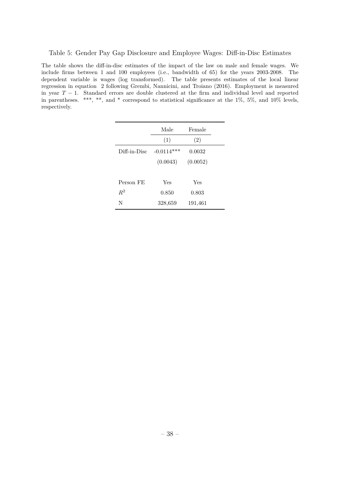Table 5: Gender Pay Gap Disclosure and Employee Wages: Diff-in-Disc Estimates

The table shows the diff-in-disc estimates of the impact of the law on male and female wages. We include firms between 1 and 100 employees (i.e., bandwidth of 65) for the years 2003-2008. The dependent variable is wages (log transformed). The table presents estimates of the local linear regression in equation 2 following Grembi, Nannicini, and Troiano (2016). Employment is measured in year *T* − 1. Standard errors are double clustered at the firm and individual level and reported in parentheses. \*\*\*, \*\*, and \* correspond to statistical significance at the 1%, 5%, and 10% levels, respectively.

|              | Male<br>(1)  | Female<br>(2) |  |
|--------------|--------------|---------------|--|
| Diff-in-Disc | $-0.0114***$ | 0.0032        |  |
|              | (0.0043)     | (0.0052)      |  |
|              |              |               |  |
| Person FE    | Yes          | Yes           |  |
| $R^2$        | 0.850        | 0.803         |  |
| N            | 328,659      | 191,461       |  |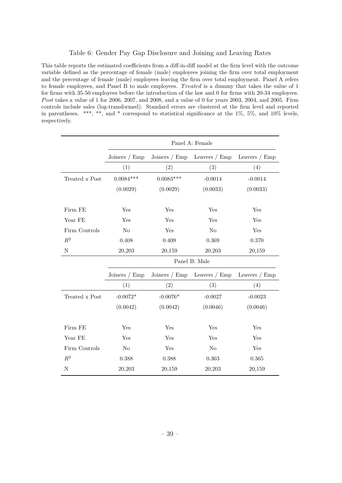#### Table 6: Gender Pay Gap Disclosure and Joining and Leaving Rates

This table reports the estimated coefficients from a diff-in-diff model at the firm level with the outcome variable defined as the percentage of female (male) employees joining the firm over total employment and the percentage of female (male) employees leaving the firm over total employment. Panel A refers to female employees, and Panel B to male employees. *T reated* is a dummy that takes the value of 1 for firms with 35-50 employees before the introduction of the law and 0 for firms with 20-34 employees. *P ost* takes a value of 1 for 2006, 2007, and 2008, and a value of 0 for years 2003, 2004, and 2005. Firm controls include sales (log-transformed). Standard errors are clustered at the firm level and reported in parentheses. \*\*\*, \*\*, and \* correspond to statistical significance at the 1%, 5%, and 10% levels, respectively.

|                |                 | Panel A: Female |                 |                 |  |  |  |  |  |
|----------------|-----------------|-----------------|-----------------|-----------------|--|--|--|--|--|
|                | Joiners $/$ Emp | Joiners $/$ Emp | Leavers $/$ Emp | Leavers $/$ Emp |  |  |  |  |  |
|                | (1)             | (2)             | (3)             | (4)             |  |  |  |  |  |
| Treated x Post | $0.0084***$     | $0.0083***$     | $-0.0014$       | $-0.0014$       |  |  |  |  |  |
|                | (0.0029)        | (0.0029)        | (0.0033)        | (0.0033)        |  |  |  |  |  |
| $Firm$ $FE$    | Yes             | Yes             | Yes             | Yes             |  |  |  |  |  |
| Year FE        | Yes             | Yes             | Yes             | Yes             |  |  |  |  |  |
| Firm Controls  | No              | Yes             | $\rm No$        | Yes             |  |  |  |  |  |
| $\mathbb{R}^2$ | 0.408           | 0.409           | 0.369           | 0.370           |  |  |  |  |  |
| $\rm N$        | 20,203          | 20,159          | 20,203          | 20,159          |  |  |  |  |  |
|                |                 |                 | Panel B: Male   |                 |  |  |  |  |  |
|                | Joiners $/$ Emp | Joiners $/$ Emp | Leavers $/$ Emp | Leavers $/$ Emp |  |  |  |  |  |
|                | (1)             | (2)             | (3)             | (4)             |  |  |  |  |  |
| Treated x Post | $-0.0072*$      | $-0.0076*$      | $-0.0027$       | $-0.0023$       |  |  |  |  |  |
|                | (0.0042)        | (0.0042)        | (0.0046)        | (0.0046)        |  |  |  |  |  |
| Firm FE        | Yes             | Yes             | Yes             | Yes             |  |  |  |  |  |
| Year FE        | Yes             | Yes             | Yes             | Yes             |  |  |  |  |  |
|                |                 |                 |                 |                 |  |  |  |  |  |
| Firm Controls  | N <sub>o</sub>  | Yes             | $\rm No$        | Yes             |  |  |  |  |  |
| $\mathbb{R}^2$ | 0.388           | 0.388           | 0.363           | 0.365           |  |  |  |  |  |
| N              | 20,203          | 20,159          | 20,203          | 20,159          |  |  |  |  |  |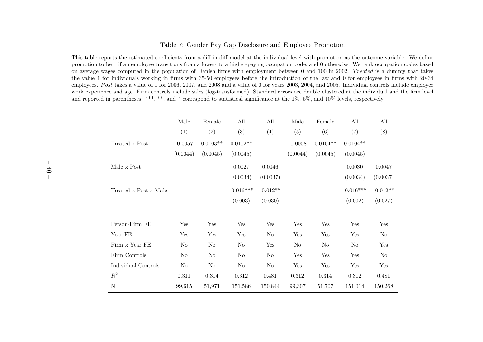#### Table 7: Gender Pay Gap Disclosure and Employee Promotion

This table reports the estimated coefficients from <sup>a</sup> diff-in-diff model at the individual level with promotion as the outcome variable. We define promotion to be 1 if an employee transitions from <sup>a</sup> lower- to <sup>a</sup> higher-paying occupation code, and 0 otherwise. We rank occupation codes based on average wages computed in the population of Danish firms with employment between 0 and 100 in 2002. *<sup>T</sup> reated* is <sup>a</sup> dummy that takes the value 1 for individuals working in firms with 35-50 employees before the introduction of the law and 0 for employees in firms with 20-34 employees. *P ost* takes <sup>a</sup> value of <sup>1</sup> for 2006, 2007, and <sup>2008</sup> and <sup>a</sup> value of <sup>0</sup> for years 2003, 2004, and 2005. Individual controls include employee work experience and age. Firm controls include sales (log-transformed). Standard errors are double clustered at the individual and the firm leveland reported in parentheses. \*\*\*, \*\*, and \* correspond to statistical significance at the 1%, 5%, and 10% levels, respectively.

|                       | Male      | Female     | All            | All        | Male           | Female         | All            | All        |
|-----------------------|-----------|------------|----------------|------------|----------------|----------------|----------------|------------|
|                       | (1)       | (2)        | (3)            | (4)        | (5)            | (6)            | (7)            | (8)        |
| Treated x Post        | $-0.0057$ | $0.0103**$ | $0.0102**$     |            | $-0.0058$      | $0.0104**$     | $0.0104**$     |            |
|                       | (0.0044)  | (0.0045)   | (0.0045)       |            | (0.0044)       | (0.0045)       | (0.0045)       |            |
| Male x Post           |           |            | 0.0027         | 0.0046     |                |                | 0.0030         | 0.0047     |
|                       |           |            | (0.0034)       | (0.0037)   |                |                | (0.0034)       | (0.0037)   |
| Treated x Post x Male |           |            | $-0.016***$    | $-0.012**$ |                |                | $-0.016***$    | $-0.012**$ |
|                       |           |            | (0.003)        | (0.030)    |                |                | (0.002)        | (0.027)    |
|                       |           |            |                |            |                |                |                |            |
| Person-Firm FE        | Yes       | Yes        | Yes            | Yes        | Yes            | Yes            | Yes            | Yes        |
| Year FE               | Yes       | Yes        | Yes            | No         | Yes            | Yes            | Yes            | No         |
| Firm x Year FE        | $\rm No$  | No         | N <sub>o</sub> | Yes        | N <sub>o</sub> | N <sub>o</sub> | N <sub>o</sub> | Yes        |
| Firm Controls         | No        | $\rm No$   | N <sub>o</sub> | No         | Yes            | Yes            | Yes            | No         |
| Individual Controls   | No        | $\rm No$   | $\rm No$       | $\rm No$   | Yes            | Yes            | Yes            | Yes        |
| $\mathbb{R}^2$        | $0.311\,$ | 0.314      | 0.312          | 0.481      | 0.312          | 0.314          | 0.312          | 0.481      |
| $\mathbf N$           | 99,615    | 51,971     | 151,586        | 150,844    | 99,307         | 51,707         | 151,014        | 150,268    |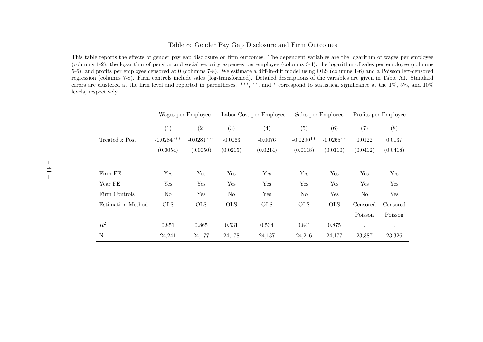#### Table 8: Gender Pay Gap Disclosure and Firm Outcomes

This table reports the effects of gender pay gap disclosure on firm outcomes. The dependent variables are the logarithm of wages per employee (columns 1-2), the logarithm of pension and social security expenses per employee (columns 3-4), the logarithm of sales per employee (columns 5-6), and profits per employee censored at <sup>0</sup> (columns 7-8). We estimate <sup>a</sup> diff-in-diff model using OLS (columns 1-6) and <sup>a</sup> Poisson left-censored regression (columns 7-8). Firm controls include sales (log-transformed). Detailed descriptions of the variables are <sup>g</sup>iven in Table A1. Standard errors are clustered at the firm level and reported in parentheses. \*\*\*, \*\*, and \* correspond to statistical significance at the 1%, 5%, and 10%levels, respectively.

|                   | Wages per Employee |              | Labor Cost per Employee |            | Sales per Employee |             | Profits per Employee |           |
|-------------------|--------------------|--------------|-------------------------|------------|--------------------|-------------|----------------------|-----------|
|                   | (1)                | (2)          | (3)                     | (4)        | (5)                | (6)         | (7)                  | (8)       |
| Treated x Post    | $-0.0284***$       | $-0.0281***$ | $-0.0063$               | $-0.0076$  | $-0.0290**$        | $-0.0265**$ | 0.0122               | 0.0137    |
|                   | (0.0054)           | (0.0050)     | (0.0215)                | (0.0214)   | (0.0118)           | (0.0110)    | (0.0412)             | (0.0418)  |
|                   |                    |              |                         |            |                    |             |                      |           |
| Firm FE           | Yes                | Yes          | Yes                     | Yes        | Yes                | Yes         | Yes                  | Yes       |
| Year FE           | Yes                | Yes          | Yes                     | Yes        | Yes                | Yes         | Yes                  | Yes       |
| Firm Controls     | No                 | Yes          | No                      | Yes        | No                 | Yes         | No                   | Yes       |
| Estimation Method | <b>OLS</b>         | <b>OLS</b>   | <b>OLS</b>              | <b>OLS</b> | <b>OLS</b>         | <b>OLS</b>  | Censored             | Censored  |
|                   |                    |              |                         |            |                    |             | Poisson              | Poisson   |
| $\mathbb{R}^2$    | 0.851              | 0.865        | 0.531                   | 0.534      | 0.841              | 0.875       | $\bullet$            | $\bullet$ |
| N                 | 24,241             | 24,177       | 24,178                  | 24,137     | 24,216             | 24,177      | 23,387               | 23,326    |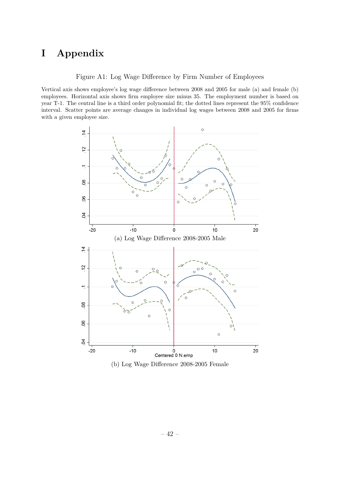# **I Appendix**

Figure A1: Log Wage Difference by Firm Number of Employees

Vertical axis shows employee's log wage difference between 2008 and 2005 for male (a) and female (b) employees. Horizontal axis shows firm employee size minus 35. The employment number is based on year T-1. The central line is a third order polynomial fit; the dotted lines represent the 95% confidence interval. Scatter points are average changes in individual log wages between 2008 and 2005 for firms with a given employee size.



(b) Log Wage Difference 2008-2005 Female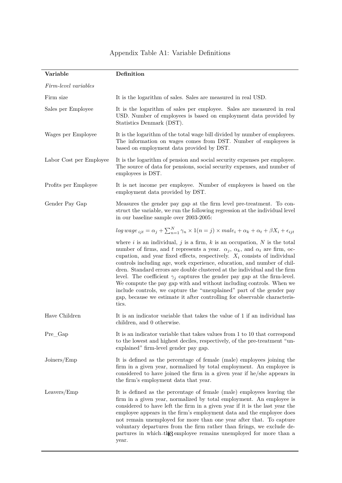| Variable                | Definition                                                                                                                                                                                                                                                                                                                                                                                                                                                                                                                                                                                                                                                                                                                                      |
|-------------------------|-------------------------------------------------------------------------------------------------------------------------------------------------------------------------------------------------------------------------------------------------------------------------------------------------------------------------------------------------------------------------------------------------------------------------------------------------------------------------------------------------------------------------------------------------------------------------------------------------------------------------------------------------------------------------------------------------------------------------------------------------|
| Firm-level variables    |                                                                                                                                                                                                                                                                                                                                                                                                                                                                                                                                                                                                                                                                                                                                                 |
| Firm size               | It is the logarithm of sales. Sales are measured in real USD.                                                                                                                                                                                                                                                                                                                                                                                                                                                                                                                                                                                                                                                                                   |
| Sales per Employee      | It is the logarithm of sales per employee. Sales are measured in real<br>USD. Number of employees is based on employment data provided by<br>Statistics Denmark (DST).                                                                                                                                                                                                                                                                                                                                                                                                                                                                                                                                                                          |
| Wages per Employee      | It is the logarithm of the total wage bill divided by number of employees.<br>The information on wages comes from DST. Number of employees is<br>based on employment data provided by DST.                                                                                                                                                                                                                                                                                                                                                                                                                                                                                                                                                      |
| Labor Cost per Employee | It is the logarithm of pension and social security expenses per employee.<br>The source of data for pensions, social security expenses, and number of<br>employees is DST.                                                                                                                                                                                                                                                                                                                                                                                                                                                                                                                                                                      |
| Profits per Employee    | It is net income per employee. Number of employees is based on the<br>employment data provided by DST.                                                                                                                                                                                                                                                                                                                                                                                                                                                                                                                                                                                                                                          |
| Gender Pay Gap          | Measures the gender pay gap at the firm level pre-treatment. To con-<br>struct the variable, we run the following regression at the individual level<br>in our baseline sample over 2003-2005:                                                                                                                                                                                                                                                                                                                                                                                                                                                                                                                                                  |
|                         | log wage $_{ijt} = \alpha_j + \sum_{n=1}^{N} \gamma_n \times 1(n = j) \times male_i + \alpha_k + \alpha_t + \beta X_i + \epsilon_{ijt}$                                                                                                                                                                                                                                                                                                                                                                                                                                                                                                                                                                                                         |
|                         | where i is an individual, j is a firm, k is an occupation, N is the total<br>number of firms, and t represents a year. $\alpha_j$ , $\alpha_k$ , and $\alpha_t$ are firm, oc-<br>cupation, and year fixed effects, respectively. $X_i$ consists of individual<br>controls including age, work experience, education, and number of chil-<br>dren. Standard errors are double clustered at the individual and the firm<br>level. The coefficient $\gamma_i$ captures the gender pay gap at the firm-level.<br>We compute the pay gap with and without including controls. When we<br>include controls, we capture the "unexplained" part of the gender pay<br>gap, because we estimate it after controlling for observable characteris-<br>tics. |
| Have Children           | It is an indicator variable that takes the value of 1 if an individual has<br>children, and 0 otherwise.                                                                                                                                                                                                                                                                                                                                                                                                                                                                                                                                                                                                                                        |
| $Pre_Gap$               | It is an indicator variable that takes values from 1 to 10 that correspond<br>to the lowest and highest deciles, respectively, of the pre-treatment "un-<br>explained" firm-level gender pay gap.                                                                                                                                                                                                                                                                                                                                                                                                                                                                                                                                               |
| Joiners/Emp             | It is defined as the percentage of female (male) employees joining the<br>firm in a given year, normalized by total employment. An employee is<br>considered to have joined the firm in a given year if he/she appears in<br>the firm's employment data that year.                                                                                                                                                                                                                                                                                                                                                                                                                                                                              |
| Leavers/Emp             | It is defined as the percentage of female (male) employees leaving the<br>firm in a given year, normalized by total employment. An employee is<br>considered to have left the firm in a given year if it is the last year the<br>employee appears in the firm's employment data and the employee does<br>not remain unemployed for more than one year after that. To capture<br>voluntary departures from the firm rather than firings, we exclude de-<br>partures in which-the employee remains unemployed for more than a<br>year.                                                                                                                                                                                                            |

# Appendix Table A1: Variable Definitions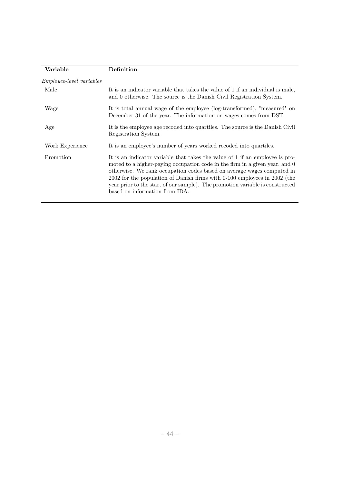| Variable                        | Definition                                                                                                                                                                                                                                                                                                                                                                                                                            |
|---------------------------------|---------------------------------------------------------------------------------------------------------------------------------------------------------------------------------------------------------------------------------------------------------------------------------------------------------------------------------------------------------------------------------------------------------------------------------------|
| <i>Employee-level variables</i> |                                                                                                                                                                                                                                                                                                                                                                                                                                       |
| Male                            | It is an indicator variable that takes the value of 1 if an individual is male,<br>and 0 otherwise. The source is the Danish Civil Registration System.                                                                                                                                                                                                                                                                               |
| Wage                            | It is total annual wage of the employee (log-transformed), "measured" on<br>December 31 of the year. The information on wages comes from DST.                                                                                                                                                                                                                                                                                         |
| Age                             | It is the employee age recoded into quartiles. The source is the Danish Civil<br>Registration System.                                                                                                                                                                                                                                                                                                                                 |
| Work Experience                 | It is an employee's number of years worked recoded into quartiles.                                                                                                                                                                                                                                                                                                                                                                    |
| Promotion                       | It is an indicator variable that takes the value of 1 if an employee is pro-<br>moted to a higher-paying occupation code in the firm in a given year, and 0<br>otherwise. We rank occupation codes based on average wages computed in<br>2002 for the population of Danish firms with 0-100 employees in 2002 (the<br>year prior to the start of our sample). The promotion variable is constructed<br>based on information from IDA. |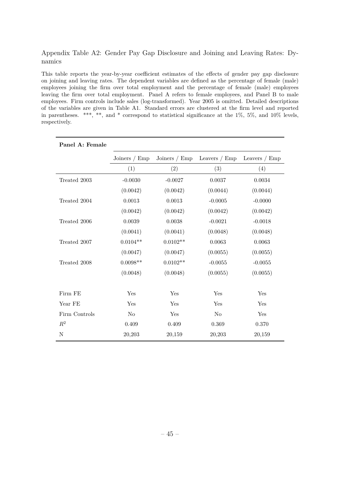### Appendix Table A2: Gender Pay Gap Disclosure and Joining and Leaving Rates: Dynamics

This table reports the year-by-year coefficient estimates of the effects of gender pay gap disclosure on joining and leaving rates. The dependent variables are defined as the percentage of female (male) employees joining the firm over total employment and the percentage of female (male) employees leaving the firm over total employment. Panel A refers to female employees, and Panel B to male employees. Firm controls include sales (log-transformed). Year 2005 is omitted. Detailed descriptions of the variables are given in Table A1. Standard errors are clustered at the firm level and reported in parentheses. \*\*\*, \*\*, and \* correspond to statistical significance at the  $1\%$ ,  $5\%$ , and  $10\%$  levels, respectively.

| Panel A: Female |                 |                 |                 |                 |
|-----------------|-----------------|-----------------|-----------------|-----------------|
|                 | Joiners / $Emp$ | Joiners / $Emp$ | Leavers $/$ Emp | Leavers $/$ Emp |
|                 | (1)             | (2)             | (3)             | (4)             |
| Treated 2003    | $-0.0030$       | $-0.0027$       | 0.0037          | 0.0034          |
|                 | (0.0042)        | (0.0042)        | (0.0044)        | (0.0044)        |
| Treated 2004    | 0.0013          | 0.0013          | $-0.0005$       | $-0.0000$       |
|                 | (0.0042)        | (0.0042)        | (0.0042)        | (0.0042)        |
| Treated 2006    | 0.0039          | 0.0038          | $-0.0021$       | $-0.0018$       |
|                 | (0.0041)        | (0.0041)        | (0.0048)        | (0.0048)        |
| Treated 2007    | $0.0104**$      | $0.0102**$      | 0.0063          | 0.0063          |
|                 | (0.0047)        | (0.0047)        | (0.0055)        | (0.0055)        |
| Treated 2008    | $0.0098**$      | $0.0102**$      | $-0.0055$       | $-0.0055$       |
|                 | (0.0048)        | (0.0048)        | (0.0055)        | (0.0055)        |
|                 |                 |                 |                 |                 |
| Firm FE         | Yes             | Yes             | Yes             | Yes             |
| Year FE         | Yes             | Yes             | Yes             | Yes             |
| Firm Controls   | N <sub>o</sub>  | Yes             | N <sub>o</sub>  | Yes             |
| $R^2$           | 0.409           | 0.409           | 0.369           | 0.370           |
| N               | 20,203          | 20,159          | 20,203          | 20,159          |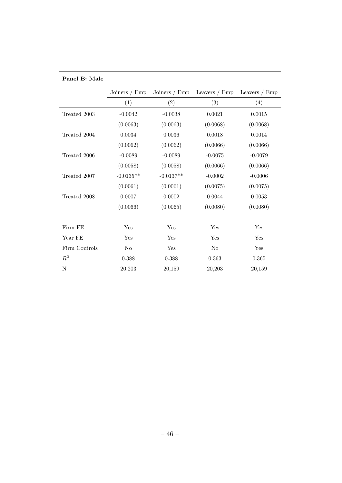| Panel B: Male  |                 |                 |                 |                 |
|----------------|-----------------|-----------------|-----------------|-----------------|
|                | Joiners $/$ Emp | Joiners $/$ Emp | Leavers $/$ Emp | Leavers $/$ Emp |
|                | (1)             | (2)             | (3)             | (4)             |
| Treated 2003   | $-0.0042$       | $-0.0038$       | 0.0021          | 0.0015          |
|                | (0.0063)        | (0.0063)        | (0.0068)        | (0.0068)        |
| Treated 2004   | 0.0034          | 0.0036          | 0.0018          | 0.0014          |
|                | (0.0062)        | (0.0062)        | (0.0066)        | (0.0066)        |
| Treated 2006   | $-0.0089$       | $-0.0089$       | $-0.0075$       | $-0.0079$       |
|                | (0.0058)        | (0.0058)        | (0.0066)        | (0.0066)        |
| Treated 2007   | $-0.0135**$     | $-0.0137**$     | $-0.0002$       | $-0.0006$       |
|                | (0.0061)        | (0.0061)        | (0.0075)        | (0.0075)        |
| Treated 2008   | 0.0007          | $0.0002\,$      | 0.0044          | 0.0053          |
|                | (0.0066)        | (0.0065)        | (0.0080)        | (0.0080)        |
|                |                 |                 |                 |                 |
| Firm FE        | Yes             | Yes             | Yes             | Yes             |
| Year FE        | Yes             | Yes             | Yes             | Yes             |
| Firm Controls  | N <sub>o</sub>  | Yes             | N <sub>o</sub>  | Yes             |
| $\mathbb{R}^2$ | 0.388           | 0.388           | 0.363           | $\,0.365\,$     |
| $\mathbf N$    | 20,203          | 20,159          | 20,203          | 20,159          |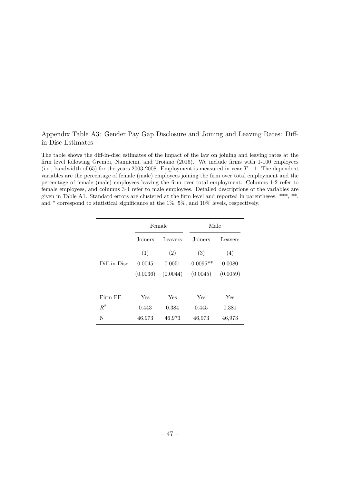## Appendix Table A3: Gender Pay Gap Disclosure and Joining and Leaving Rates: Diffin-Disc Estimates

The table shows the diff-in-disc estimates of the impact of the law on joining and leaving rates at the firm level following Grembi, Nannicini, and Troiano (2016). We include firms with 1-100 employees (i.e., bandwidth of 65) for the years 2003-2008. Employment is measured in year  $T-1$ . The dependent variables are the percentage of female (male) employees joining the firm over total employment and the percentage of female (male) employees leaving the firm over total employment. Columns 1-2 refer to female employees, and columns 3-4 refer to male employees. Detailed descriptions of the variables are given in Table A1. Standard errors are clustered at the firm level and reported in parentheses. \*\*\*, \*\*, and  $*$  correspond to statistical significance at the 1%, 5%, and 10% levels, respectively.

|              |          | Female   | Male        |          |
|--------------|----------|----------|-------------|----------|
|              | Joiners  | Leavers  | Joiners     | Leavers  |
|              | (1)      | (2)      | (3)         | (4)      |
| Diff-in-Disc | 0.0045   | 0.0051   | $-0.0095**$ | 0.0080   |
|              | (0.0036) | (0.0044) | (0.0045)    | (0.0059) |
|              |          |          |             |          |
| Firm FE      | Yes      | Yes      | Yes         | Yes      |
| $R^2$        | 0.443    | 0.384    | 0.445       | 0.381    |
| N            | 46,973   | 46,973   | 46,973      | 46,973   |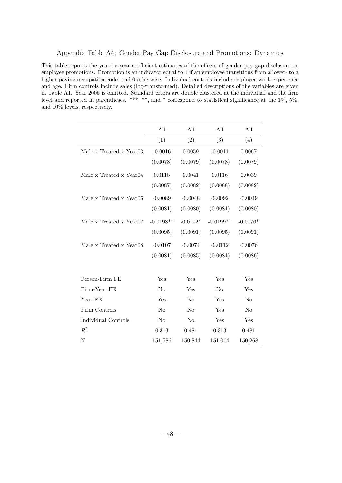This table reports the year-by-year coefficient estimates of the effects of gender pay gap disclosure on employee promotions. Promotion is an indicator equal to 1 if an employee transitions from a lower- to a higher-paying occupation code, and 0 otherwise. Individual controls include employee work experience and age. Firm controls include sales (log-transformed). Detailed descriptions of the variables are given in Table A1. Year 2005 is omitted. Standard errors are double clustered at the individual and the firm level and reported in parentheses. \*\*\*, \*\*, and \* correspond to statistical significance at the 1%, 5%, and 10% levels, respectively.

|                                     | All            | All            | All            | All            |
|-------------------------------------|----------------|----------------|----------------|----------------|
|                                     | (1)            | (2)            | (3)            | (4)            |
| Male x Treated x Year03             | $-0.0016$      | 0.0059         | $-0.0011$      | 0.0067         |
|                                     | (0.0078)       | (0.0079)       | (0.0078)       | (0.0079)       |
| Male x Treated x Year04             | 0.0118         | 0.0041         | 0.0116         | 0.0039         |
|                                     | (0.0087)       | (0.0082)       | (0.0088)       | (0.0082)       |
| Male x Treated x Year06             | $-0.0089$      | $-0.0048$      | $-0.0092$      | $-0.0049$      |
|                                     | (0.0081)       | (0.0080)       | (0.0081)       | (0.0080)       |
| Male x Treated x Year <sub>07</sub> | $-0.0198**$    | $-0.0172*$     | $-0.0199**$    | $-0.0170*$     |
|                                     | (0.0095)       | (0.0091)       | (0.0095)       | (0.0091)       |
| Male x Treated x Year08             | $-0.0107$      | $-0.0074$      | $-0.0112$      | $-0.0076$      |
|                                     | (0.0081)       | (0.0085)       | (0.0081)       | (0.0086)       |
|                                     |                |                |                |                |
| Person-Firm FE                      | Yes            | Yes            | Yes            | Yes            |
| Firm-Year FE                        | N <sub>o</sub> | Yes            | N <sub>0</sub> | Yes            |
| Year FE                             | Yes            | N <sub>o</sub> | Yes            | N <sub>o</sub> |
| Firm Controls                       | N <sub>0</sub> | N <sub>o</sub> | Yes            | No             |
| Individual Controls                 | N <sub>o</sub> | N <sub>o</sub> | Yes            | Yes            |
| $\mathbb{R}^2$                      | 0.313          | 0.481          | 0.313          | 0.481          |
| N                                   | 151,586        | 150,844        | 151,014        | 150,268        |
|                                     |                |                |                |                |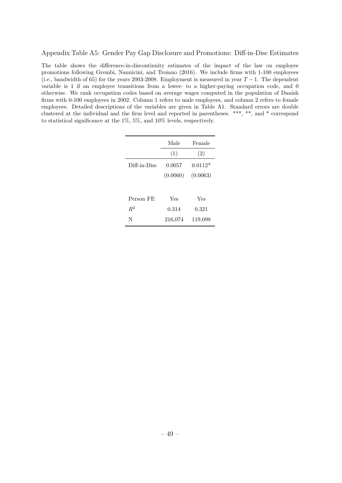#### Appendix Table A5: Gender Pay Gap Disclosure and Promotions: Diff-in-Disc Estimates

The table shows the difference-in-discontinuity estimates of the impact of the law on employee promotions following Grembi, Nannicini, and Troiano (2016). We include firms with 1-100 employees (i.e., bandwidth of 65) for the years 2003-2008. Employment is measured in year *T* − 1. The dependent variable is 1 if an employee transitions from a lower- to a higher-paying occupation code, and 0 otherwise. We rank occupation codes based on average wages computed in the population of Danish firms with 0-100 employees in 2002. Column 1 refers to male employees, and column 2 refers to female employees. Detailed descriptions of the variables are given in Table A1. Standard errors are double clustered at the individual and the firm level and reported in parentheses. \*\*\*, \*\*, and \* correspond to statistical significance at the 1%, 5%, and 10% levels, respectively.

|              | Male     | Female    |
|--------------|----------|-----------|
|              | (1)      | (2)       |
| Diff-in-Disc | 0.0057   | $0.0112*$ |
|              | (0.0060) | (0.0063)  |
|              |          |           |
| Person FE    | Yes      | Yes       |
| $R^2$        | 0.314    | 0.321     |
| N            | 216,074  | 119,098   |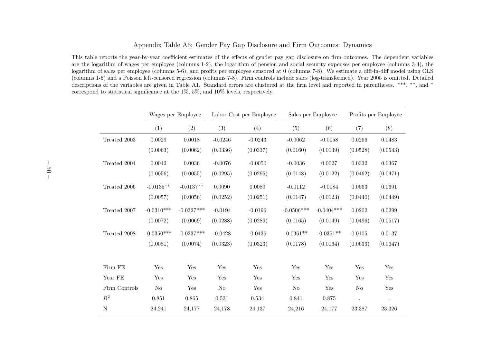#### Appendix Table A6: Gender Pay Gap Disclosure and Firm Outcomes: Dynamics

This table reports the year-by-year coefficient estimates of the effects of gender pay gap disclosure on firm outcomes. The dependent variables are the logarithm of wages per employee (columns 1-2), the logarithm of pension and social security expenses per employee (columns 3-4), the logarithm of sales per employee (columns 5-6), and profits per employee censored at <sup>0</sup> (columns 7-8). We estimate <sup>a</sup> diff-in-diff model using OLS (columns 1-6) and <sup>a</sup> Poisson left-censored regression (columns 7-8). Firm controls include sales (log-transformed). Year <sup>2005</sup> is omitted. Detailed descriptions of the variables are <sup>g</sup>iven in Table A1. Standard errors are clustered at the firm level and reported in parentheses. \*\*\*, \*\*, and \*correspond to statistical significance at the 1%, 5%, and 10% levels, respectively.

|               |              | Wages per Employee | Labor Cost per Employee |           |                | Sales per Employee | Profits per Employee |                      |  |
|---------------|--------------|--------------------|-------------------------|-----------|----------------|--------------------|----------------------|----------------------|--|
|               | (1)          | (2)                | (3)                     | (4)       | (5)            | (6)                | (7)                  | (8)                  |  |
| Treated 2003  | 0.0029       | 0.0018             | $-0.0246$               | $-0.0243$ | $-0.0062$      | $-0.0058$          | 0.0266               | 0.0483               |  |
|               | (0.0063)     | (0.0062)           | (0.0336)                | (0.0337)  | (0.0160)       | (0.0139)           | (0.0528)             | (0.0543)             |  |
| Treated 2004  | 0.0042       | 0.0036             | $-0.0076$               | $-0.0050$ | $-0.0036$      | 0.0027             | 0.0332               | 0.0367               |  |
|               | (0.0056)     | (0.0055)           | (0.0295)                | (0.0295)  | (0.0148)       | (0.0122)           | (0.0462)             | (0.0471)             |  |
| Treated 2006  | $-0.0135**$  | $-0.0137**$        | 0.0090                  | 0.0089    | $-0.0112$      | $-0.0084$          | 0.0563               | 0.0691               |  |
|               | (0.0057)     | (0.0056)           | (0.0252)                | (0.0251)  | (0.0147)       | (0.0123)           | (0.0440)             | (0.0449)             |  |
| Treated 2007  | $-0.0310***$ | $-0.0327***$       | $-0.0194$               | $-0.0196$ | $-0.0506***$   | $-0.0404***$       | 0.0202               | 0.0299               |  |
|               | (0.0072)     | (0.0069)           | (0.0288)                | (0.0289)  | (0.0165)       | (0.0149)           | (0.0496)             | (0.0517)             |  |
| Treated 2008  | $-0.0350***$ | $-0.0337***$       | $-0.0428$               | $-0.0436$ | $-0.0361**$    | $-0.0351**$        | 0.0105               | 0.0137               |  |
|               | (0.0081)     | (0.0074)           | (0.0323)                | (0.0323)  | (0.0178)       | (0.0164)           | (0.0633)             | (0.0647)             |  |
|               |              |                    |                         |           |                |                    |                      |                      |  |
| Firm FE       | Yes          | Yes                | Yes                     | Yes       | Yes            | Yes                | Yes                  | Yes                  |  |
| Year FE       | Yes          | Yes                | Yes                     | Yes       | Yes            | Yes                | Yes                  | Yes                  |  |
| Firm Controls | No           | Yes                | No                      | Yes       | N <sub>o</sub> | Yes                | No                   | Yes                  |  |
| $R^2$         | 0.851        | 0.865              | 0.531                   | 0.534     | 0.841          | 0.875              | $\ddot{\phantom{a}}$ | $\ddot{\phantom{0}}$ |  |
| N             | 24,241       | 24,177             | 24,178                  | 24,137    | 24,216         | 24,177             | 23,387               | 23,326               |  |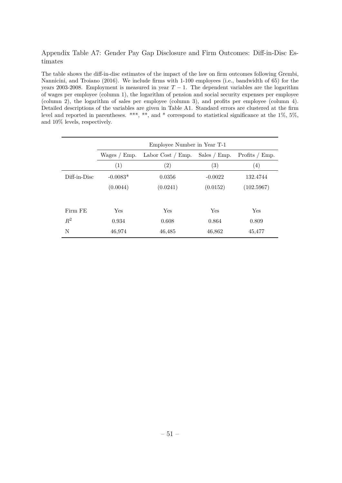## Appendix Table A7: Gender Pay Gap Disclosure and Firm Outcomes: Diff-in-Disc Estimates

The table shows the diff-in-disc estimates of the impact of the law on firm outcomes following Grembi, Nannicini, and Troiano (2016). We include firms with 1-100 employees (i.e., bandwidth of 65) for the years 2003-2008. Employment is measured in year  $T-1$ . The dependent variables are the logarithm of wages per employee (column 1), the logarithm of pension and social security expenses per employee (column 2), the logarithm of sales per employee (column 3), and profits per employee (column 4). Detailed descriptions of the variables are given in Table A1. Standard errors are clustered at the firm level and reported in parentheses. \*\*\*, \*\*, and \* correspond to statistical significance at the 1%, 5%, and 10% levels, respectively.

|              | Employee Number in Year T-1 |                   |                   |                   |  |  |  |  |
|--------------|-----------------------------|-------------------|-------------------|-------------------|--|--|--|--|
|              | Wages / Emp.                | Profits / Emp.    |                   |                   |  |  |  |  |
|              | (1)                         | $\left( 2\right)$ | $\left( 3\right)$ | $\left( 4\right)$ |  |  |  |  |
| Diff-in-Disc | $-0.0083*$                  | 0.0356            | $-0.0022$         | 132.4744          |  |  |  |  |
|              | (0.0044)                    | (0.0241)          | (0.0152)          | (102.5967)        |  |  |  |  |
|              |                             |                   |                   |                   |  |  |  |  |
| Firm FE      | Yes                         | Yes               | Yes               | Yes               |  |  |  |  |
| $R^2$        | 0.934                       | 0.608             | 0.864             | 0.809             |  |  |  |  |
| N            | 46,974                      | 46,485            | 46,862            | 45,477            |  |  |  |  |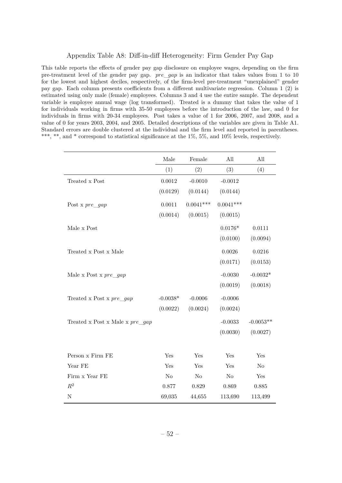#### Appendix Table A8: Diff-in-diff Heterogeneity: Firm Gender Pay Gap

This table reports the effects of gender pay gap disclosure on employee wages, depending on the firm pre-treatment level of the gender pay gap. *pre*\_*gap* is an indicator that takes values from 1 to 10 for the lowest and highest deciles, respectively, of the firm-level pre-treatment "unexplained" gender pay gap. Each column presents coefficients from a different multivariate regression. Column 1 (2) is estimated using only male (female) employees. Columns 3 and 4 use the entire sample. The dependent variable is employee annual wage (log transformed). Treated is a dummy that takes the value of 1 for individuals working in firms with 35-50 employees before the introduction of the law, and 0 for individuals in firms with 20-34 employees. Post takes a value of 1 for 2006, 2007, and 2008, and a value of 0 for years 2003, 2004, and 2005. Detailed descriptions of the variables are given in Table A1. Standard errors are double clustered at the individual and the firm level and reported in parentheses. \*\*\*, \*\*, and \* correspond to statistical significance at the 1%, 5%, and 10% levels, respectively.

|                                    | Male           | Female         | All         | All         |
|------------------------------------|----------------|----------------|-------------|-------------|
|                                    | (1)            | (2)            | (3)         | (4)         |
| Treated x Post                     | 0.0012         | $-0.0010$      | $-0.0012$   |             |
|                                    | (0.0129)       | (0.0144)       | (0.0144)    |             |
| Post x $pre\_gap$                  | 0.0011         | $0.0041***$    | $0.0041***$ |             |
|                                    | (0.0014)       | (0.0015)       | (0.0015)    |             |
| Male x Post                        |                |                | $0.0176*$   | 0.0111      |
|                                    |                |                | (0.0100)    | (0.0094)    |
| Treated x Post x Male              |                |                | 0.0026      | 0.0216      |
|                                    |                |                | (0.0171)    | (0.0153)    |
| Male x Post x $pre\_gap$           |                |                | $-0.0030$   | $-0.0032*$  |
|                                    |                |                | (0.0019)    | (0.0018)    |
| Treated x Post x $pre\_gap$        | $-0.0038*$     | $-0.0006$      | $-0.0006$   |             |
|                                    | (0.0022)       | (0.0024)       | (0.0024)    |             |
| Treated x Post x Male x $pre\_gap$ |                |                | $-0.0033$   | $-0.0053**$ |
|                                    |                |                | (0.0030)    | (0.0027)    |
|                                    |                |                |             |             |
| Person x Firm FE                   | Yes            | Yes            | Yes         | Yes         |
| Year FE                            | Yes            | Yes            | Yes         | $\rm No$    |
| Firm x Year FE                     | N <sub>o</sub> | N <sub>o</sub> | No          | Yes         |
| $\mathbb{R}^2$                     | 0.877          | 0.829          | 0.869       | 0.885       |
| $\mathbf N$                        | 69,035         | 44,655         | 113,690     | 113,499     |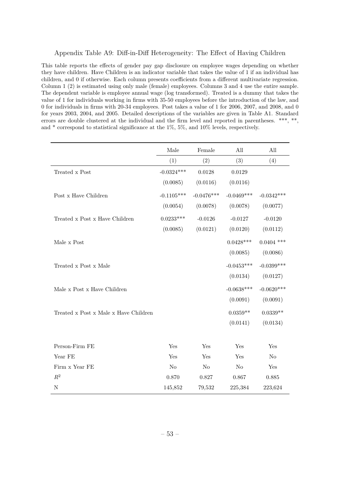#### Appendix Table A9: Diff-in-Diff Heterogeneity: The Effect of Having Children

This table reports the effects of gender pay gap disclosure on employee wages depending on whether they have children. Have Children is an indicator variable that takes the value of 1 if an individual has children, and 0 if otherwise. Each column presents coefficients from a different multivariate regression. Column 1 (2) is estimated using only male (female) employees. Columns 3 and 4 use the entire sample. The dependent variable is employee annual wage (log transformed). Treated is a dummy that takes the value of 1 for individuals working in firms with 35-50 employees before the introduction of the law, and 0 for individuals in firms with 20-34 employees. Post takes a value of 1 for 2006, 2007, and 2008, and 0 for years 2003, 2004, and 2005. Detailed descriptions of the variables are given in Table A1. Standard errors are double clustered at the individual and the firm level and reported in parentheses. \*\*\*, \*\*, and  $*$  correspond to statistical significance at the  $1\%$ ,  $5\%$ , and  $10\%$  levels, respectively.

|                                       | Male         | Female       | All            | All            |
|---------------------------------------|--------------|--------------|----------------|----------------|
|                                       | (1)          | (2)          | (3)            | (4)            |
| Treated x Post                        | $-0.0324***$ | 0.0128       | 0.0129         |                |
|                                       | (0.0085)     | (0.0116)     | (0.0116)       |                |
| $\operatorname{Post}$ x Have Children | $-0.1105***$ | $-0.0476***$ | $-0.0469***$   | $-0.0342***$   |
|                                       | (0.0054)     | (0.0078)     | (0.0078)       | (0.0077)       |
| Treated x Post x Have Children        | $0.0233***$  | $-0.0126$    | $-0.0127$      | $-0.0120$      |
|                                       | (0.0085)     | (0.0121)     | (0.0120)       | (0.0112)       |
| Male x Post                           |              |              | $0.0428***$    | $0.0404$ ***   |
|                                       |              |              | (0.0085)       | (0.0086)       |
| Treated x Post x Male                 |              |              | $-0.0453***$   | $-0.0399$ ***  |
|                                       |              |              | (0.0134)       | (0.0127)       |
| Male x Post x Have Children           |              |              | $-0.0638***$   | $-0.0620***$   |
|                                       |              |              | (0.0091)       | (0.0091)       |
| Treated x Post x Male x Have Children |              |              | $0.0359**$     | $0.0339**$     |
|                                       |              |              | (0.0141)       | (0.0134)       |
|                                       |              |              |                |                |
| Person-Firm FE                        | Yes          | Yes          | Yes            | Yes            |
| Year FE                               | Yes          | Yes          | Yes            | N <sub>0</sub> |
| Firm x Year FE                        | $\rm No$     | No           | N <sub>o</sub> | Yes            |
| $R^2$                                 | 0.870        | 0.827        | 0.867          | 0.885          |
| $\mathbf N$                           | 145,852      | 79,532       | 225,384        | 223,624        |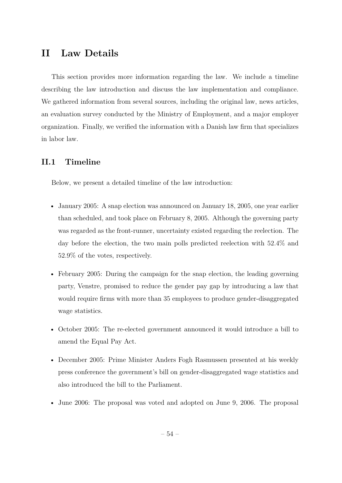# **II Law Details**

This section provides more information regarding the law. We include a timeline describing the law introduction and discuss the law implementation and compliance. We gathered information from several sources, including the original law, news articles, an evaluation survey conducted by the Ministry of Employment, and a major employer organization. Finally, we verified the information with a Danish law firm that specializes in labor law.

## **II.1 Timeline**

Below, we present a detailed timeline of the law introduction:

- January 2005: A snap election was announced on January 18, 2005, one year earlier than scheduled, and took place on February 8, 2005. Although the governing party was regarded as the front-runner, uncertainty existed regarding the reelection. The day before the election, the two main polls predicted reelection with 52.4% and 52.9% of the votes, respectively.
- February 2005: During the campaign for the snap election, the leading governing party, Venstre, promised to reduce the gender pay gap by introducing a law that would require firms with more than 35 employees to produce gender-disaggregated wage statistics.
- October 2005: The re-elected government announced it would introduce a bill to amend the Equal Pay Act.
- December 2005: Prime Minister Anders Fogh Rasmussen presented at his weekly press conference the government's bill on gender-disaggregated wage statistics and also introduced the bill to the Parliament.
- June 2006: The proposal was voted and adopted on June 9, 2006. The proposal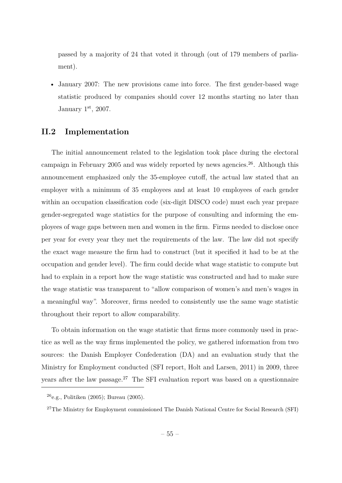passed by a majority of 24 that voted it through (out of 179 members of parliament).

• January 2007: The new provisions came into force. The first gender-based wage statistic produced by companies should cover 12 months starting no later than January  $1<sup>st</sup>$ , 2007.

## **II.2 Implementation**

The initial announcement related to the legislation took place during the electoral campaign in February 2005 and was widely reported by news agencies.<sup>26</sup>. Although this announcement emphasized only the 35-employee cutoff, the actual law stated that an employer with a minimum of 35 employees and at least 10 employees of each gender within an occupation classification code (six-digit DISCO code) must each year prepare gender-segregated wage statistics for the purpose of consulting and informing the employees of wage gaps between men and women in the firm. Firms needed to disclose once per year for every year they met the requirements of the law. The law did not specify the exact wage measure the firm had to construct (but it specified it had to be at the occupation and gender level). The firm could decide what wage statistic to compute but had to explain in a report how the wage statistic was constructed and had to make sure the wage statistic was transparent to "allow comparison of women's and men's wages in a meaningful way". Moreover, firms needed to consistently use the same wage statistic throughout their report to allow comparability.

To obtain information on the wage statistic that firms more commonly used in practice as well as the way firms implemented the policy, we gathered information from two sources: the Danish Employer Confederation (DA) and an evaluation study that the Ministry for Employment conducted (SFI report, Holt and Larsen, 2011) in 2009, three years after the law passage.<sup>27</sup> The SFI evaluation report was based on a questionnaire

 $26$ e.g., Politiken (2005); Bureau (2005).

<sup>&</sup>lt;sup>27</sup>The Ministry for Employment commissioned The Danish National Centre for Social Research (SFI)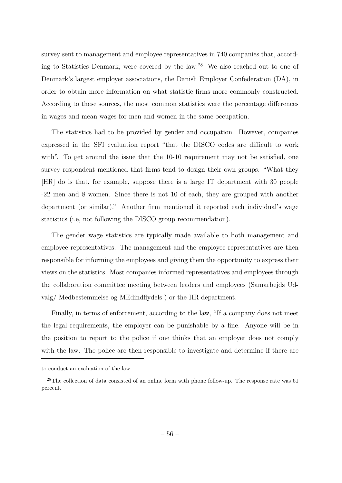survey sent to management and employee representatives in 740 companies that, according to Statistics Denmark, were covered by the law.<sup>28</sup> We also reached out to one of Denmark's largest employer associations, the Danish Employer Confederation (DA), in order to obtain more information on what statistic firms more commonly constructed. According to these sources, the most common statistics were the percentage differences in wages and mean wages for men and women in the same occupation.

The statistics had to be provided by gender and occupation. However, companies expressed in the SFI evaluation report "that the DISCO codes are difficult to work with". To get around the issue that the 10-10 requirement may not be satisfied, one survey respondent mentioned that firms tend to design their own groups: "What they [HR] do is that, for example, suppose there is a large IT department with 30 people -22 men and 8 women. Since there is not 10 of each, they are grouped with another department (or similar)." Another firm mentioned it reported each individual's wage statistics (i.e, not following the DISCO group recommendation).

The gender wage statistics are typically made available to both management and employee representatives. The management and the employee representatives are then responsible for informing the employees and giving them the opportunity to express their views on the statistics. Most companies informed representatives and employees through the collaboration committee meeting between leaders and employees (Samarbejds Udvalg/ Medbestemmelse og MEdindflydels ) or the HR department.

Finally, in terms of enforcement, according to the law, "If a company does not meet the legal requirements, the employer can be punishable by a fine. Anyone will be in the position to report to the police if one thinks that an employer does not comply with the law. The police are then responsible to investigate and determine if there are

to conduct an evaluation of the law.

<sup>&</sup>lt;sup>28</sup>The collection of data consisted of an online form with phone follow-up. The response rate was 61 percent.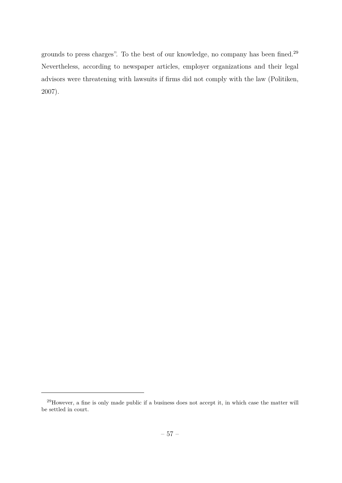grounds to press charges". To the best of our knowledge, no company has been fined.<sup>29</sup> Nevertheless, according to newspaper articles, employer organizations and their legal advisors were threatening with lawsuits if firms did not comply with the law (Politiken, 2007).

<sup>29</sup>However, a fine is only made public if a business does not accept it, in which case the matter will be settled in court.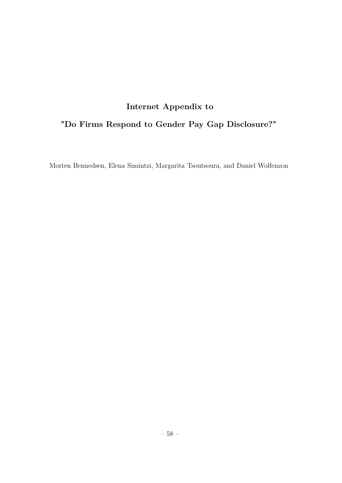# **Internet Appendix to**

# **"Do Firms Respond to Gender Pay Gap Disclosure?"**

Morten Bennedsen, Elena Simintzi, Margarita Tsoutsoura, and Daniel Wolfenzon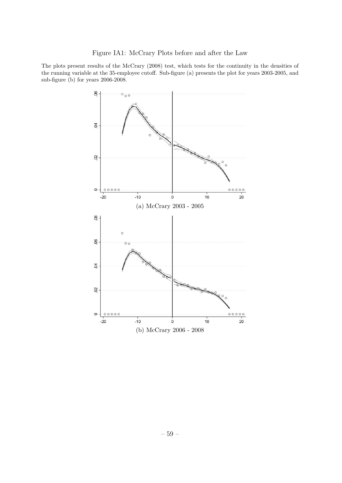The plots present results of the McCrary (2008) test, which tests for the continuity in the densities of the running variable at the 35-employee cutoff. Sub-figure (a) presents the plot for years 2003-2005, and sub-figure (b) for years 2006-2008.

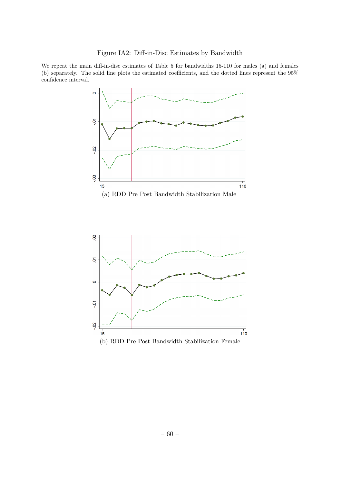We repeat the main diff-in-disc estimates of Table 5 for bandwidths 15-110 for males (a) and females (b) separately. The solid line plots the estimated coefficients, and the dotted lines represent the 95% confidence interval.

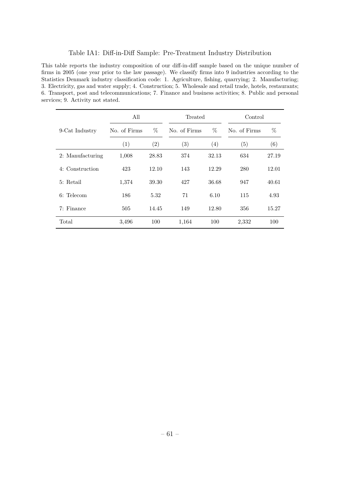#### Table IA1: Diff-in-Diff Sample: Pre-Treatment Industry Distribution

This table reports the industry composition of our diff-in-diff sample based on the unique number of firms in 2005 (one year prior to the law passage). We classify firms into 9 industries according to the Statistics Denmark industry classification code: 1. Agriculture, fishing, quarrying; 2. Manufacturing; 3. Electricity, gas and water supply; 4. Construction; 5. Wholesale and retail trade, hotels, restaurants; 6. Transport, post and telecommunications; 7. Finance and business activities; 8. Public and personal services; 9. Activity not stated.

|                  | All          |       | Treated           |       | Control      |       |  |
|------------------|--------------|-------|-------------------|-------|--------------|-------|--|
| 9-Cat Industry   | No. of Firms | $\%$  | No. of Firms      | %     | No. of Firms | %     |  |
|                  | (1)          | (2)   | $\left( 3\right)$ | (4)   | (5)          | (6)   |  |
| 2: Manufacturing | 1,008        | 28.83 | 374               | 32.13 | 634          | 27.19 |  |
| 4: Construction  | 423          | 12.10 | 143               | 12.29 | 280          | 12.01 |  |
| 5: Retail        | 1,374        | 39.30 | 427               | 36.68 | 947          | 40.61 |  |
| 6: Telecom       | 186          | 5.32  | 71                | 6.10  | 115          | 4.93  |  |
| 7: Finance       | 505          | 14.45 | 149               | 12.80 | 356          | 15.27 |  |
| Total            | 3,496        | 100   | 1,164             | 100   | 2,332        | 100   |  |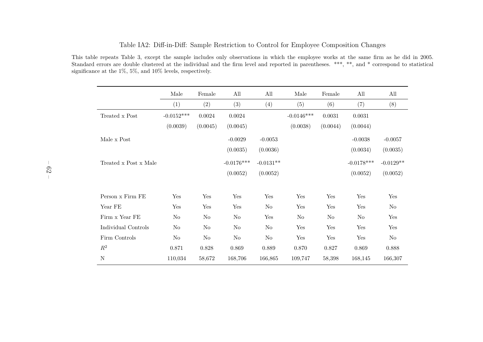|                       | Male           | Female   | All          | All            | Male         | Female   | All          | All         |
|-----------------------|----------------|----------|--------------|----------------|--------------|----------|--------------|-------------|
|                       | (1)            | (2)      | (3)          | (4)            | (5)          | (6)      | (7)          | (8)         |
| Treated x Post        | $-0.0152***$   | 0.0024   | 0.0024       |                | $-0.0146***$ | 0.0031   | 0.0031       |             |
|                       | (0.0039)       | (0.0045) | (0.0045)     |                | (0.0038)     | (0.0044) | (0.0044)     |             |
| Male x Post           |                |          | $-0.0029$    | $-0.0053$      |              |          | $-0.0038$    | $-0.0057$   |
|                       |                |          | (0.0035)     | (0.0036)       |              |          | (0.0034)     | (0.0035)    |
| Treated x Post x Male |                |          | $-0.0176***$ | $-0.0131**$    |              |          | $-0.0178***$ | $-0.0129**$ |
|                       |                |          | (0.0052)     | (0.0052)       |              |          | (0.0052)     | (0.0052)    |
| Person x Firm FE      | Yes            | Yes      | Yes          | Yes            | Yes          | Yes      | Yes          | Yes         |
| Year FE               | Yes            | Yes      | Yes          | No             | Yes          | Yes      | Yes          | No          |
| Firm x Year FE        | No             | No       | No           | Yes            | No           | No       | No           | Yes         |
| Individual Controls   | N <sub>o</sub> | No       | $\rm No$     | N <sub>o</sub> | Yes          | Yes      | Yes          | Yes         |
| Firm Controls         | No             | $\rm No$ | $\rm No$     | No             | Yes          | Yes      | Yes          | No          |
| $\mathbb{R}^2$        | 0.871          | 0.828    | 0.869        | 0.889          | 0.870        | 0.827    | 0.869        | 0.888       |

N 110,034 58,672 168,706 166,865 109,747 58,398 168,145 166,307

#### Table IA2: Diff-in-Diff: Sample Restriction to Control for Employee Composition Changes

This table repeats Table 3, except the sample includes only observations in which the employee works at the same firm as he did in 2005.Standard errors are double clustered at the individual and the firm level and reported in parentheses. \*\*\*, \*\*, and \* correspond to statistical significance at the 1%, 5%, and 10% levels, respectively.

N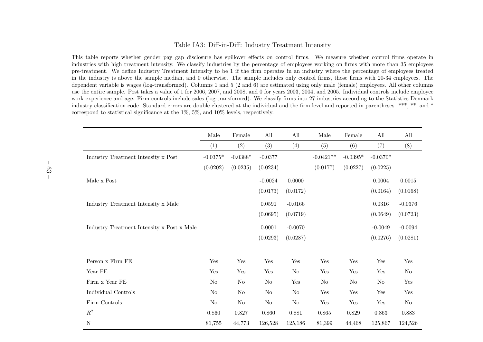#### Table IA3: Diff-in-Diff: Industry Treatment Intensity

This table reports whether gender pay gap disclosure has spillover effects on control firms. We measure whether control firms operate in industries with high treatment intensity. We classify industries by the percentage of employees working on firms with more than 35 employees pre-treatment. We define Industry Treatment Intensity to be 1 if the firm operates in an industry where the percentage of employees treated in the industry is above the sample median, and 0 otherwise. The sample includes only control firms, those firms with 20-34 employees. The dependent variable is wages (log-transformed). Columns <sup>1</sup> and <sup>5</sup> (2 and 6) are estimated using only male (female) employees. All other columns use the entire sample. Post takes <sup>a</sup> value of 1 for 2006, 2007, and 2008, and 0 for years 2003, 2004, and 2005. Individual controls include employee work experience and age. Firm controls include sales (log-transformed). We classify firms into <sup>27</sup> industries according to the Statistics Denmark industry classification code. Standard errors are double clustered at the individual and the firm level and reported in parentheses. \*\*\*, \*\*, and \*correspond to statistical significance at the 1%, 5%, and 10% levels, respectively.

|                                                                | Male           | Female     | All       | All            | Male                 | Female               | $\mathop{\mathrm{All}}\nolimits$ | All        |
|----------------------------------------------------------------|----------------|------------|-----------|----------------|----------------------|----------------------|----------------------------------|------------|
|                                                                | (1)            | (2)        | (3)       | (4)            | (5)                  | (6)                  | (7)                              | (8)        |
| Industry Treatment Intensity x Post                            | $-0.0375*$     | $-0.0388*$ | $-0.0377$ |                | $-0.0421**$          | $-0.0395*$           | $-0.0370*$                       |            |
|                                                                | (0.0202)       | (0.0235)   | (0.0234)  |                | (0.0177)             | (0.0227)             | (0.0225)                         |            |
| Male x Post                                                    |                |            | $-0.0024$ | 0.0000         |                      |                      | 0.0004                           | $0.0015\,$ |
|                                                                |                |            | (0.0173)  | (0.0172)       |                      |                      | (0.0164)                         | (0.0168)   |
| Industry Treatment Intensity x Male                            |                |            | 0.0591    | $-0.0166$      |                      |                      | 0.0316                           | $-0.0376$  |
|                                                                |                |            | (0.0695)  | (0.0719)       |                      |                      | (0.0649)                         | (0.0723)   |
| Industry Treatment Intensity $\mathbf x$ Post $\mathbf x$ Male |                |            | 0.0001    | $-0.0070$      |                      |                      | $-0.0049$                        | $-0.0094$  |
|                                                                |                |            | (0.0293)  | (0.0287)       |                      |                      | (0.0276)                         | (0.0281)   |
|                                                                |                |            |           |                |                      |                      |                                  |            |
| Person x Firm FE                                               | Yes            | Yes        | Yes       | Yes            | Yes                  | Yes                  | Yes                              | Yes        |
| Year $\rm FE$                                                  | Yes            | Yes        | Yes       | No             | Yes                  | Yes                  | Yes                              | $\rm No$   |
| Firm x Year FE                                                 | N <sub>o</sub> | $\rm No$   | $\rm No$  | Yes            | N <sub>o</sub>       | N <sub>o</sub>       | $\rm No$                         | Yes        |
| Individual Controls                                            | $\rm No$       | $\rm No$   | $\rm No$  | N <sub>o</sub> | Yes                  | Yes                  | Yes                              | Yes        |
| Firm Controls                                                  | $\rm No$       | $\rm No$   | $\rm No$  | $\rm No$       | $\operatorname{Yes}$ | $\operatorname{Yes}$ | Yes                              | $\rm No$   |
| $\mathbb{R}^2$                                                 | 0.860          | 0.827      | 0.860     | 0.881          | 0.865                | 0.829                | 0.863                            | 0.883      |
| $\mathbf N$                                                    | 81,755         | 44,773     | 126,528   | 125,186        | 81,399               | 44,468               | 125,867                          | 124,526    |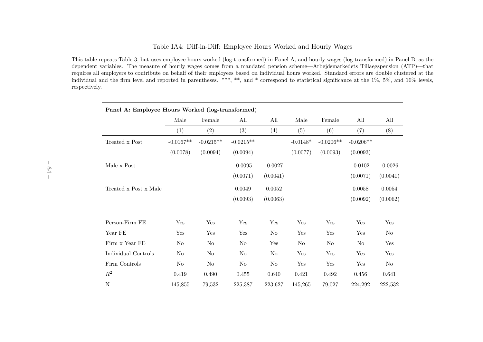#### Table IA4: Diff-in-Diff: Employee Hours Worked and Hourly Wages

This table repeats Table 3, but uses employee hours worked (log-transformed) in Panel A, and hourly wages (log-transformed) in Panel B, as the dependent variables. The measure of hourly wages comes from <sup>a</sup> mandated pension scheme—Arbejdsmarkedets Tillaegspension (ATP)—that requires all employers to contribute on behalf of their employees based on individual hours worked. Standard errors are double clustered at the individual and the firm level and reported in parentheses. \*\*\*, \*\*, and \* correspond to statistical significance at the 1%, 5%, and 10% levels,respectively.

| Panel A: Employee Hours Worked (log-transformed) |             |             |             |           |            |             |             |           |  |  |
|--------------------------------------------------|-------------|-------------|-------------|-----------|------------|-------------|-------------|-----------|--|--|
|                                                  | Male        | Female      | All         | All       | Male       | Female      | All         | All       |  |  |
|                                                  | (1)         | (2)         | (3)         | (4)       | (5)        | (6)         | (7)         | (8)       |  |  |
| Treated x Post                                   | $-0.0167**$ | $-0.0215**$ | $-0.0215**$ |           | $-0.0148*$ | $-0.0206**$ | $-0.0206**$ |           |  |  |
|                                                  | (0.0078)    | (0.0094)    | (0.0094)    |           | (0.0077)   | (0.0093)    | (0.0093)    |           |  |  |
| Male x Post                                      |             |             | $-0.0095$   | $-0.0027$ |            |             | $-0.0102$   | $-0.0026$ |  |  |
|                                                  |             |             | (0.0071)    | (0.0041)  |            |             | (0.0071)    | (0.0041)  |  |  |
| Treated x Post x Male                            |             |             | 0.0049      | 0.0052    |            |             | 0.0058      | 0.0054    |  |  |
|                                                  |             |             | (0.0093)    | (0.0063)  |            |             | (0.0092)    | (0.0062)  |  |  |
|                                                  |             |             |             |           |            |             |             |           |  |  |
| Person-Firm FE                                   | Yes         | Yes         | Yes         | Yes       | Yes        | Yes         | Yes         | Yes       |  |  |
| Year FE                                          | Yes         | Yes         | Yes         | $\rm No$  | Yes        | Yes         | Yes         | $\rm No$  |  |  |
| Firm x Year FE                                   | No          | $\rm No$    | $\rm No$    | Yes       | $\rm No$   | $\rm No$    | No          | Yes       |  |  |
| Individual Controls                              | $\rm No$    | No          | No          | $\rm No$  | Yes        | Yes         | Yes         | Yes       |  |  |
| Firm Controls                                    | No          | No          | No          | $\rm No$  | Yes        | Yes         | Yes         | $\rm No$  |  |  |
| $\mathbb{R}^2$                                   | 0.419       | 0.490       | $0.455\,$   | 0.640     | 0.421      | 0.492       | 0.456       | 0.641     |  |  |
| $\mathbf N$                                      | 145,855     | 79,532      | 225,387     | 223,627   | 145,265    | 79,027      | 224,292     | 222,532   |  |  |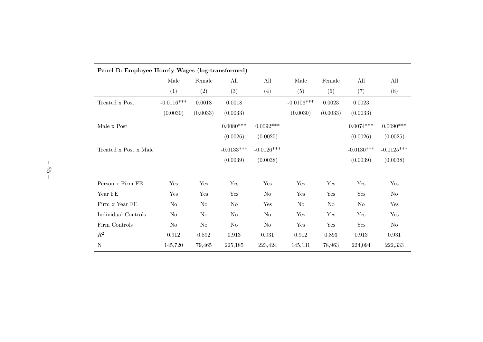| Panel B: Employee Hourly Wages (log-transformed) |              |          |                |                |                |              |              |              |  |
|--------------------------------------------------|--------------|----------|----------------|----------------|----------------|--------------|--------------|--------------|--|
|                                                  | Male         | Female   | All            | All            | Male           | Female       | All          | All          |  |
|                                                  | (1)          | (2)      | (3)            | (4)            | (5)            | (6)          | (7)          | (8)          |  |
| Treated <b>x</b> Post                            | $-0.0116***$ | 0.0018   | 0.0018         |                | $-0.0106***$   | $\,0.0023\,$ | $\,0.0023\,$ |              |  |
|                                                  | (0.0030)     | (0.0033) | (0.0033)       |                | (0.0030)       | (0.0033)     | (0.0033)     |              |  |
| Male x Post                                      |              |          | $0.0080***$    | $0.0092***$    |                |              | $0.0074***$  | $0.0090***$  |  |
|                                                  |              |          | (0.0026)       | (0.0025)       |                |              | (0.0026)     | (0.0025)     |  |
| Treated x Post x Male                            |              |          | $-0.0133***$   | $-0.0126***$   |                |              | $-0.0130***$ | $-0.0125***$ |  |
|                                                  |              |          | (0.0039)       | (0.0038)       |                |              | (0.0039)     | (0.0038)     |  |
| Person x Firm FE                                 | Yes          | Yes      | Yes            | Yes            | Yes            | Yes          | Yes          | Yes          |  |
| Year FE                                          | Yes          | Yes      | Yes            | N <sub>o</sub> | Yes            | Yes          | Yes          | No           |  |
| Firm x Year FE                                   | $\rm No$     | $\rm No$ | N <sub>o</sub> | Yes            | N <sub>o</sub> | No           | No           | Yes          |  |
| Individual Controls                              | $\rm No$     | $\rm No$ | $\rm No$       | $\rm No$       | Yes            | Yes          | Yes          | Yes          |  |
| Firm Controls                                    | $\rm No$     | $\rm No$ | $\rm No$       | $\rm No$       | Yes            | Yes          | Yes          | $\rm No$     |  |
| $R^2$                                            | 0.912        | 0.892    | 0.913          | 0.931          | 0.912          | 0.893        | 0.913        | $\,0.931\,$  |  |
| $\mathbf N$                                      | 145,720      | 79,465   | 225,185        | 223,424        | 145,131        | 78,963       | 224,094      | 222,333      |  |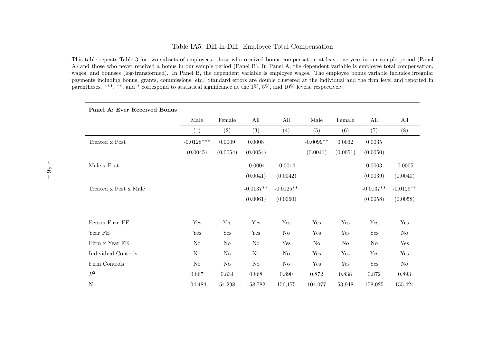#### Table IA5: Diff-in-Diff: Employee Total Compensation

This table repeats Table <sup>3</sup> for two subsets of employees: those who received bonus compensation at least one year in our sample period (Panel A) and those who never received <sup>a</sup> bonus in our sample period (Panel B). In Panel A, the dependent variable is employee total compensation, wages, and bonuses (log-transformed). In Panel B, the dependent variable is employee wages. The employee bonus variable includes irregular payments including bonus, grants, commissions, etc. Standard errors are double clustered at the individual and the firm level and reported inparentheses. \*\*\*, \*\*, and \* correspond to statistical significance at the 1%, 5%, and 10% levels, respectively.

| I allel A. Evel Received Dollus |              |          |             |             |                |          |             |             |
|---------------------------------|--------------|----------|-------------|-------------|----------------|----------|-------------|-------------|
|                                 | Male         | Female   | All         | All         | Male           | Female   | All         | All         |
|                                 | (1)          | (2)      | (3)         | (4)         | (5)            | (6)      | (7)         | (8)         |
| Treated x Post                  | $-0.0128***$ | 0.0009   | 0.0008      |             | $-0.0099**$    | 0.0032   | 0.0035      |             |
|                                 | (0.0045)     | (0.0054) | (0.0054)    |             | (0.0041)       | (0.0051) | (0.0050)    |             |
| Male x Post                     |              |          | $-0.0004$   | $-0.0014$   |                |          | 0.0003      | $-0.0005$   |
|                                 |              |          | (0.0041)    | (0.0042)    |                |          | (0.0039)    | (0.0040)    |
| Treated x Post x Male           |              |          | $-0.0137**$ | $-0.0125**$ |                |          | $-0.0137**$ | $-0.0129**$ |
|                                 |              |          | (0.0061)    | (0.0060)    |                |          | (0.0058)    | (0.0058)    |
| Person-Firm FE                  | Yes          | Yes      | Yes         | Yes         | Yes            | Yes      | Yes         | Yes         |
| Year FE                         | Yes          | Yes      | Yes         | $\rm No$    | Yes            | Yes      | Yes         | $\rm No$    |
|                                 |              |          |             |             |                |          |             |             |
| Firm x Year FE                  | $\rm No$     | $\rm No$ | $\rm No$    | Yes         | N <sub>o</sub> | No       | $\rm No$    | Yes         |
| Individual Controls             | $\rm No$     | $\rm No$ | $\rm No$    | $\rm No$    | Yes            | Yes      | Yes         | Yes         |
| Firm Controls                   | $\rm No$     | $\rm No$ | No          | $\rm No$    | Yes            | Yes      | Yes         | No          |
| $\mathbb{R}^2$                  | 0.867        | 0.834    | 0.868       | 0.890       | 0.872          | 0.838    | 0.872       | 0.893       |
| N                               | 104,484      | 54,298   | 158,782     | 156,175     | 104,077        | 53,948   | 158,025     | 155,424     |

#### **Panel A: Ever Received Bonus**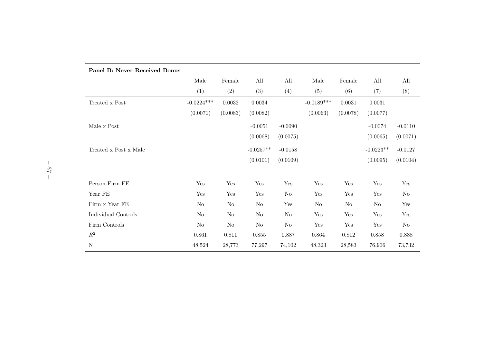|                       | Male         | Female   | All         | All       | Male         | Female   | All         | All       |
|-----------------------|--------------|----------|-------------|-----------|--------------|----------|-------------|-----------|
|                       | (1)          | (2)      | (3)         | (4)       | (5)          | (6)      | (7)         | (8)       |
| Treated x Post        | $-0.0224***$ | 0.0032   | 0.0034      |           | $-0.0189***$ | 0.0031   | 0.0031      |           |
|                       | (0.0071)     | (0.0083) | (0.0082)    |           | (0.0063)     | (0.0078) | (0.0077)    |           |
| Male x Post           |              |          | $-0.0051$   | $-0.0090$ |              |          | $-0.0074$   | $-0.0110$ |
|                       |              |          | (0.0068)    | (0.0075)  |              |          | (0.0065)    | (0.0071)  |
| Treated x Post x Male |              |          | $-0.0257**$ | $-0.0158$ |              |          | $-0.0223**$ | $-0.0127$ |
|                       |              |          | (0.0101)    | (0.0109)  |              |          | (0.0095)    | (0.0104)  |
| Person-Firm FE        | Yes          | Yes      | Yes         | Yes       | Yes          | Yes      | Yes         | Yes       |
| Year FE               | Yes          | Yes      | Yes         | $\rm No$  | Yes          | Yes      | Yes         | $\rm No$  |
|                       |              |          |             |           |              |          |             |           |
| Firm x Year FE        | $\rm No$     | $\rm No$ | No          | Yes       | $\rm No$     | $\rm No$ | $\rm No$    | Yes       |
| Individual Controls   | $\rm No$     | No       | $\rm No$    | $\rm No$  | Yes          | Yes      | Yes         | Yes       |
| Firm Controls         | No           | $\rm No$ | $\rm No$    | No        | Yes          | Yes      | Yes         | $\rm No$  |
| $\mathbb{R}^2$        | 0.861        | 0.811    | $0.855\,$   | 0.887     | 0.864        | 0.812    | 0.858       | 0.888     |
| ${\bf N}$             | 48,524       | 28,773   | 77,297      | 74,102    | 48,323       | 28,583   | 76,906      | 73,732    |

#### **Panel B: Never Received Bonus**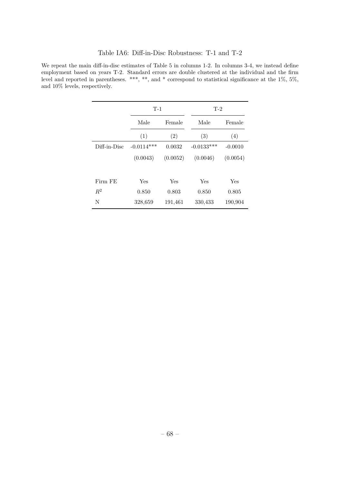| Table IA6: Diff-in-Disc Robustness: T-1 and T-2 |  |  |  |  |
|-------------------------------------------------|--|--|--|--|
|-------------------------------------------------|--|--|--|--|

We repeat the main diff-in-disc estimates of Table 5 in columns 1-2. In columns 3-4, we instead define employment based on years T-2. Standard errors are double clustered at the individual and the firm level and reported in parentheses. \*\*\*, \*\*, and \* correspond to statistical significance at the 1%, 5%, and 10% levels, respectively.

|              | $T-1$          |          | $T-2$        |           |
|--------------|----------------|----------|--------------|-----------|
|              | Male<br>Female |          | Male         | Female    |
|              | (1)            | (2)      | (3)          | (4)       |
| Diff-in-Disc | $-0.0114***$   | 0.0032   | $-0.0133***$ | $-0.0010$ |
|              | (0.0043)       | (0.0052) | (0.0046)     | (0.0054)  |
|              |                |          |              |           |
| Firm FE      | Yes            | Yes      | Yes          | Yes       |
| $R^2$        | 0.850          | 0.803    | 0.850        | 0.805     |
| N            | 328,659        | 191,461  | 330,433      | 190,904   |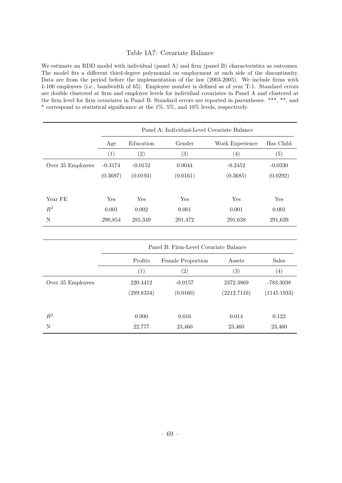#### Table IA7: Covariate Balance

We estimate an RDD model with individual (panel A) and firm (panel B) characteristics as outcomes. The model fits a different third-degree polynomial on employment at each side of the discontinuity. Data are from the period before the implementation of the law (2003-2005). We include firms with 1-100 employees (i.e., bandwidth of 65). Employee number is defined as of year T-1. Standard errors are double clustered at firm and employee levels for individual covariates in Panel A and clustered at the firm level for firm covariates in Panel B. Standard errors are reported in parentheses. \*\*\*, \*\*, and \* correspond to statistical significance at the 1%, 5%, and 10% levels, respectively.

|                   |           | Panel A: Individual-Level Covariate Balance |                   |                   |                   |  |  |  |  |
|-------------------|-----------|---------------------------------------------|-------------------|-------------------|-------------------|--|--|--|--|
|                   | Age       | Education                                   | Gender            | Work Experience   | Has Child         |  |  |  |  |
|                   | (1)       | $\left( 2\right)$                           | $\left( 3\right)$ | $\left( 4\right)$ | $\left( 5\right)$ |  |  |  |  |
| Over 35 Employees | $-0.3174$ | $-0.0152$                                   | 0.0044            | $-0.2452$         | $-0.0330$         |  |  |  |  |
|                   | (0.3697)  | (0.0193)                                    | (0.0161)          | (0.3685)          | (0.0292)          |  |  |  |  |
| Year FE           | Yes       | Yes                                         | Yes               | Yes               | Yes               |  |  |  |  |
| $R^2$             | 0.001     | 0.002                                       | 0.001             | 0.001             | 0.001             |  |  |  |  |
| N                 | 290,854   | 285,349                                     | 291,472           | 291,638           | 291,639           |  |  |  |  |

|                   | Panel B: Firm-Level Covariate Balance |                             |                   |                   |  |  |  |
|-------------------|---------------------------------------|-----------------------------|-------------------|-------------------|--|--|--|
|                   | Profits                               | Assets<br>Female Proportion |                   |                   |  |  |  |
|                   | (1)                                   | $\left( 2\right)$           | $\left( 3\right)$ | $\left( 4\right)$ |  |  |  |
| Over 35 Employees | 220.4412                              | $-0.0157$                   | 2372.3869         | -783.3038         |  |  |  |
|                   | (289.8334)                            | (0.0160)                    | (2212.7116)       | (1145.1933)       |  |  |  |
|                   |                                       |                             |                   |                   |  |  |  |
| $R^2$             | 0.000                                 | 0.016                       | 0.014             | 0.122             |  |  |  |
| N                 | 22,777                                | 23,460                      | 23,460            | 23,460            |  |  |  |